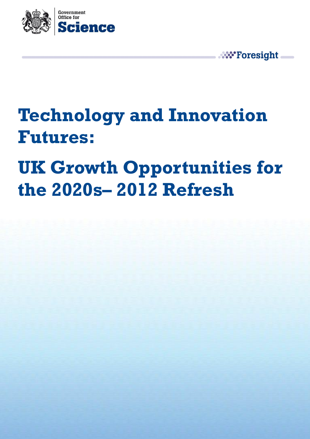

# <span id="page-0-0"></span>**Technology and Innovation Futures:**

**W** Foresight

# <span id="page-0-1"></span>**UK Growth Opportunities for the 2020s– 2012 Refresh**

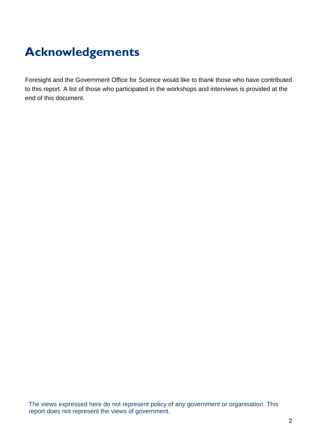# <span id="page-1-0"></span>**Acknowledgements**

Foresight and the Government Office for Science would like to thank those who have contributed to this report. A list of those who participated in the workshops and interviews is provided at the end of this document.

<span id="page-1-1"></span>The views expressed here do not represent policy of any government or organisation. This report does not represent the views of government.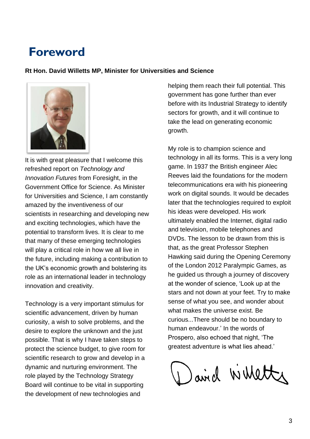# **Foreword**

#### **Rt Hon. David Willetts MP, Minister for Universities and Science**



It is with great pleasure that I welcome this refreshed report on *Technology and Innovation Futures* from Foresight, in the Government Office for Science. As Minister for Universities and Science, I am constantly amazed by the inventiveness of our scientists in researching and developing new and exciting technologies, which have the potential to transform lives. It is clear to me that many of these emerging technologies will play a critical role in how we all live in the future, including making a contribution to the UK's economic growth and bolstering its role as an international leader in technology innovation and creativity.

Technology is a very important stimulus for scientific advancement, driven by human curiosity, a wish to solve problems, and the desire to explore the unknown and the just possible. That is why I have taken steps to protect the science budget, to give room for scientific research to grow and develop in a dynamic and nurturing environment. The role played by the Technology Strategy Board will continue to be vital in supporting the development of new technologies and

helping them reach their full potential. This government has gone further than ever before with its Industrial Strategy to identify sectors for growth, and it will continue to take the lead on generating economic growth.

My role is to champion science and technology in all its forms. This is a very long game. In 1937 the British engineer Alec Reeves laid the foundations for the modern telecommunications era with his pioneering work on digital sounds. It would be decades later that the technologies required to exploit his ideas were developed. His work ultimately enabled the Internet, digital radio and television, mobile telephones and DVDs. The lesson to be drawn from this is that, as the great Professor Stephen Hawking said during the Opening Ceremony of the London 2012 Paralympic Games, as he guided us through a journey of discovery at the wonder of science, 'Look up at the stars and not down at your feet. Try to make sense of what you see, and wonder about what makes the universe exist. Be curious...There should be no boundary to human endeavour.' In the words of Prospero, also echoed that night, 'The greatest adventure is what lies ahead.'

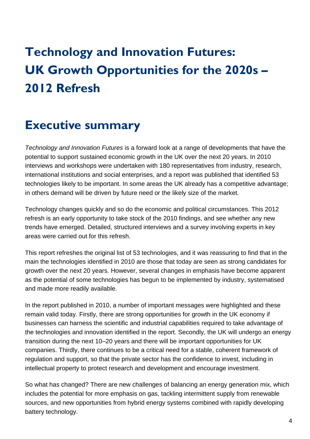# **Technology and Innovation Futures: UK Growth Opportunities for the 2020s – 2012 Refresh**

# <span id="page-3-0"></span>**Executive summary**

*Technology and Innovation Futures* is a forward look at a range of developments that have the potential to support sustained economic growth in the UK over the next 20 years. In 2010 interviews and workshops were undertaken with 180 representatives from industry, research, international institutions and social enterprises, and a report was published that identified 53 technologies likely to be important. In some areas the UK already has a competitive advantage; in others demand will be driven by future need or the likely size of the market.

Technology changes quickly and so do the economic and political circumstances. This 2012 refresh is an early opportunity to take stock of the 2010 findings, and see whether any new trends have emerged. Detailed, structured interviews and a survey involving experts in key areas were carried out for this refresh.

This report refreshes the original list of 53 technologies, and it was reassuring to find that in the main the technologies identified in 2010 are those that today are seen as strong candidates for growth over the next 20 years. However, several changes in emphasis have become apparent as the potential of some technologies has begun to be implemented by industry, systematised and made more readily available.

In the report published in 2010, a number of important messages were highlighted and these remain valid today. Firstly, there are strong opportunities for growth in the UK economy if businesses can harness the scientific and industrial capabilities required to take advantage of the technologies and innovation identified in the report. Secondly, the UK will undergo an energy transition during the next 10–20 years and there will be important opportunities for UK companies. Thirdly, there continues to be a critical need for a stable, coherent framework of regulation and support, so that the private sector has the confidence to invest, including in intellectual property to protect research and development and encourage investment.

So what has changed? There are new challenges of balancing an energy generation mix, which includes the potential for more emphasis on gas, tackling intermittent supply from renewable sources, and new opportunities from hybrid energy systems combined with rapidly developing battery technology.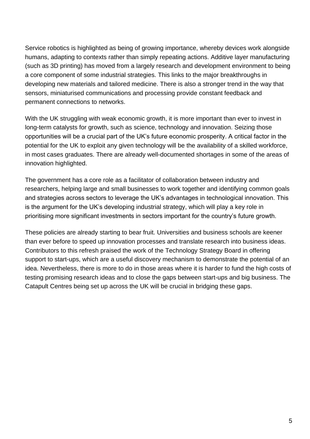Service robotics is highlighted as being of growing importance, whereby devices work alongside humans, adapting to contexts rather than simply repeating actions. Additive layer manufacturing (such as 3D printing) has moved from a largely research and development environment to being a core component of some industrial strategies. This links to the major breakthroughs in developing new materials and tailored medicine. There is also a stronger trend in the way that sensors, miniaturised communications and processing provide constant feedback and permanent connections to networks.

With the UK struggling with weak economic growth, it is more important than ever to invest in long-term catalysts for growth, such as science, technology and innovation. Seizing those opportunities will be a crucial part of the UK's future economic prosperity. A critical factor in the potential for the UK to exploit any given technology will be the availability of a skilled workforce, in most cases graduates. There are already well-documented shortages in some of the areas of innovation highlighted.

The government has a core role as a facilitator of collaboration between industry and researchers, helping large and small businesses to work together and identifying common goals and strategies across sectors to leverage the UK's advantages in technological innovation. This is the argument for the UK's developing industrial strategy, which will play a key role in prioritising more significant investments in sectors important for the country's future growth.

These policies are already starting to bear fruit. Universities and business schools are keener than ever before to speed up innovation processes and translate research into business ideas. Contributors to this refresh praised the work of the Technology Strategy Board in offering support to start-ups, which are a useful discovery mechanism to demonstrate the potential of an idea. Nevertheless, there is more to do in those areas where it is harder to fund the high costs of testing promising research ideas and to close the gaps between start-ups and big business. The Catapult Centres being set up across the UK will be crucial in bridging these gaps.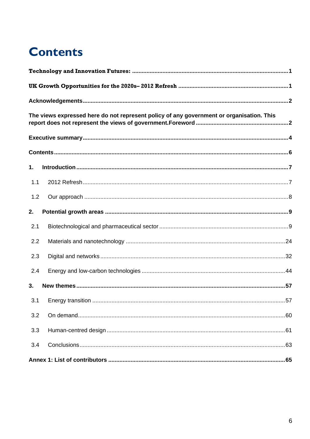# <span id="page-5-0"></span>**Contents**

| The views expressed here do not represent policy of any government or organisation. This |  |    |  |  |
|------------------------------------------------------------------------------------------|--|----|--|--|
|                                                                                          |  |    |  |  |
|                                                                                          |  |    |  |  |
| 1.                                                                                       |  |    |  |  |
| 1.1                                                                                      |  |    |  |  |
| 1.2                                                                                      |  |    |  |  |
| 2.                                                                                       |  |    |  |  |
| 2.1                                                                                      |  |    |  |  |
| 2.2                                                                                      |  |    |  |  |
| 2.3                                                                                      |  |    |  |  |
| 2.4                                                                                      |  |    |  |  |
| 3.                                                                                       |  |    |  |  |
|                                                                                          |  | 57 |  |  |
| 3.2                                                                                      |  |    |  |  |
| 3.3                                                                                      |  |    |  |  |
| 3.4                                                                                      |  |    |  |  |
|                                                                                          |  |    |  |  |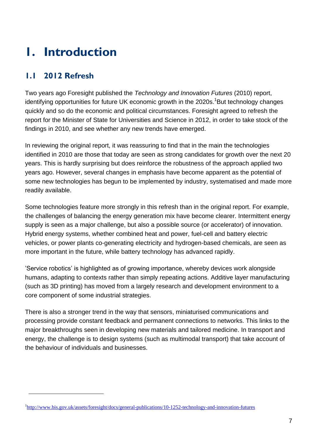# <span id="page-6-0"></span>**1. Introduction**

# <span id="page-6-1"></span>**1.1 2012 Refresh**

l

Two years ago Foresight published the *Technology and Innovation Futures* (2010) report, identifying opportunities for future UK economic growth in the 2020s.<sup>1</sup>But technology changes quickly and so do the economic and political circumstances. Foresight agreed to refresh the report for the Minister of State for Universities and Science in 2012, in order to take stock of the findings in 2010, and see whether any new trends have emerged.

In reviewing the original report, it was reassuring to find that in the main the technologies identified in 2010 are those that today are seen as strong candidates for growth over the next 20 years. This is hardly surprising but does reinforce the robustness of the approach applied two years ago. However, several changes in emphasis have become apparent as the potential of some new technologies has begun to be implemented by industry, systematised and made more readily available.

Some technologies feature more strongly in this refresh than in the original report. For example, the challenges of balancing the energy generation mix have become clearer. Intermittent energy supply is seen as a major challenge, but also a possible source (or accelerator) of innovation. Hybrid energy systems, whether combined heat and power, fuel-cell and battery electric vehicles, or power plants co-generating electricity and hydrogen-based chemicals, are seen as more important in the future, while battery technology has advanced rapidly.

'Service robotics' is highlighted as of growing importance, whereby devices work alongside humans, adapting to contexts rather than simply repeating actions. Additive layer manufacturing (such as 3D printing) has moved from a largely research and development environment to a core component of some industrial strategies.

There is also a stronger trend in the way that sensors, miniaturised communications and processing provide constant feedback and permanent connections to networks. This links to the major breakthroughs seen in developing new materials and tailored medicine. In transport and energy, the challenge is to design systems (such as multimodal transport) that take account of the behaviour of individuals and businesses.

<sup>&</sup>lt;sup>1</sup><http://www.bis.gov.uk/assets/foresight/docs/general-publications/10-1252-technology-and-innovation-futures>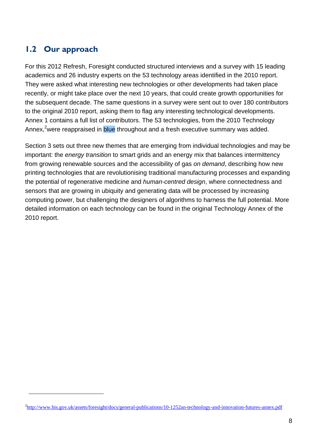### <span id="page-7-0"></span>**1.2 Our approach**

l

For this 2012 Refresh, Foresight conducted structured interviews and a survey with 15 leading academics and 26 industry experts on the 53 technology areas identified in the 2010 report. They were asked what interesting new technologies or other developments had taken place recently, or might take place over the next 10 years, that could create growth opportunities for the subsequent decade. The same questions in a survey were sent out to over 180 contributors to the original 2010 report, asking them to flag any interesting technological developments. Annex 1 contains a full list of contributors. The 53 technologies, from the 2010 Technology Annex,<sup>2</sup>were reappraised in blue throughout and a fresh executive summary was added.

Section 3 sets out three new themes that are emerging from individual technologies and may be important: the *energy transition* to smart grids and an energy mix that balances intermittency from growing renewable sources and the accessibility of gas *on demand*, describing how new printing technologies that are revolutionising traditional manufacturing processes and expanding the potential of regenerative medicine and *human-centred design*, where connectedness and sensors that are growing in ubiquity and generating data will be processed by increasing computing power, but challenging the designers of algorithms to harness the full potential. More detailed information on each technology can be found in the original Technology Annex of the 2010 report.

<sup>&</sup>lt;sup>2</sup><http://www.bis.gov.uk/assets/foresight/docs/general-publications/10-1252an-technology-and-innovation-futures-annex.pdf>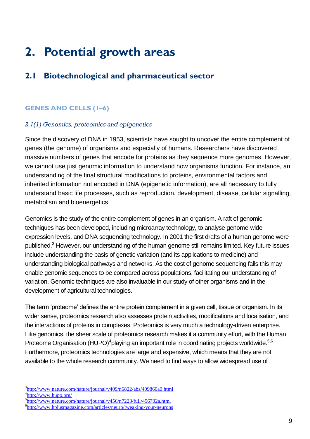# <span id="page-8-0"></span>**2. Potential growth areas**

# <span id="page-8-1"></span>**2.1 Biotechnological and pharmaceutical sector**

#### **GENES AND CELLS (1–6)**

#### *2.1(1) Genomics, proteomics and epigenetics*

Since the discovery of DNA in 1953, scientists have sought to uncover the entire complement of genes (the genome) of organisms and especially of humans. Researchers have discovered massive numbers of genes that encode for proteins as they sequence more genomes. However, we cannot use just genomic information to understand how organisms function. For instance, an understanding of the final structural modifications to proteins, environmental factors and inherited information not encoded in DNA (epigenetic information), are all necessary to fully understand basic life processes, such as reproduction, development, disease, cellular signalling, metabolism and bioenergetics.

Genomics is the study of the entire complement of genes in an organism. A raft of genomic techniques has been developed, including microarray technology, to analyse genome-wide expression levels, and DNA sequencing technology. In 2001 the first drafts of a human genome were published.<sup>3</sup> However, our understanding of the human genome still remains limited. Key future issues include understanding the basis of genetic variation (and its applications to medicine) and understanding biological pathways and networks. As the cost of genome sequencing falls this may enable genomic sequences to be compared across populations, facilitating our understanding of variation. Genomic techniques are also invaluable in our study of other organisms and in the development of agricultural technologies.

The term 'proteome' defines the entire protein complement in a given cell, tissue or organism. In its wider sense, proteomics research also assesses protein activities, modifications and localisation, and the interactions of proteins in complexes. Proteomics is very much a technology-driven enterprise. Like genomics, the sheer scale of proteomics research makes it a community effort, with the Human Proteome Organisation (HUPO)<sup>4</sup>playing an important role in coordinating projects worldwide.<sup>5,6</sup> Furthermore, proteomics technologies are large and expensive, which means that they are not available to the whole research community. We need to find ways to allow widespread use of

<sup>3</sup> <http://www.nature.com/nature/journal/v409/n6822/abs/409860a0.html> <sup>4</sup><http://www.hupo.org/>

<sup>5</sup> <http://www.nature.com/nature/journal/v456/n7223/full/456702a.html> <sup>6</sup><http://www.hplusmagazine.com/articles/neuro/tweaking-your-neurons>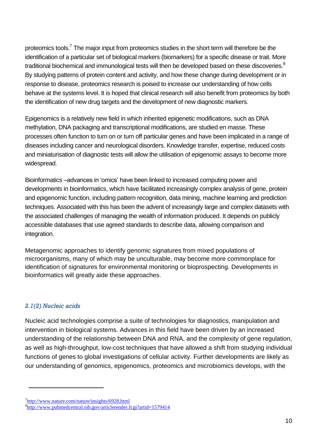proteomics tools.<sup>7</sup> The major input from proteomics studies in the short term will therefore be the identification of a particular set of biological markers (biomarkers) for a specific disease or trait. More traditional biochemical and immunological tests will then be developed based on these discoveries.<sup>8</sup> By studying patterns of protein content and activity, and how these change during development or in response to disease, proteomics research is poised to increase our understanding of how cells behave at the systems level. It is hoped that clinical research will also benefit from proteomics by both the identification of new drug targets and the development of new diagnostic markers.

Epigenomics is a relatively new field in which inherited epigenetic modifications, such as DNA methylation, DNA packaging and transcriptional modifications, are studied en masse. These processes often function to turn on or turn off particular genes and have been implicated in a range of diseases including cancer and neurological disorders. Knowledge transfer, expertise, reduced costs and miniaturisation of diagnostic tests will allow the utilisation of epigenomic assays to become more widespread.

Bioinformatics –advances in 'omics' have been linked to increased computing power and developments in bioinformatics, which have facilitated increasingly complex analysis of gene, protein and epigenomic function, including pattern recognition, data mining, machine learning and prediction techniques. Associated with this has been the advent of increasingly large and complex datasets with the associated challenges of managing the wealth of information produced. It depends on publicly accessible databases that use agreed standards to describe data, allowing comparison and integration.

Metagenomic approaches to identify genomic signatures from mixed populations of microorganisms, many of which may be unculturable, may become more commonplace for identification of signatures for environmental monitoring or bioprospecting. Developments in bioinformatics will greatly aide these approaches.

#### *2.1(2) Nucleic acids*

l

Nucleic acid technologies comprise a suite of technologies for diagnostics, manipulation and intervention in biological systems. Advances in this field have been driven by an increased understanding of the relationship between DNA and RNA, and the complexity of gene regulation, as well as high-throughput, low-cost techniques that have allowed a shift from studying individual functions of genes to global investigations of cellular activity. Further developments are likely as our understanding of genomics, epigenomics, proteomics and microbiomics develops, with the

<sup>&</sup>lt;sup>7</sup><http://www.nature.com/nature/insights/6928.html> 8 <http://www.pubmedcentral.nih.gov/articlerender.fcgi?artid=1579414>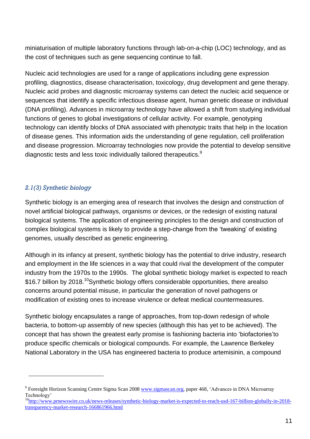miniaturisation of multiple laboratory functions through lab-on-a-chip (LOC) technology, and as the cost of techniques such as gene sequencing continue to fall.

Nucleic acid technologies are used for a range of applications including gene expression profiling, diagnostics, disease characterisation, toxicology, drug development and gene therapy. Nucleic acid probes and diagnostic microarray systems can detect the nucleic acid sequence or sequences that identify a specific infectious disease agent, human genetic disease or individual (DNA profiling). Advances in microarray technology have allowed a shift from studying individual functions of genes to global investigations of cellular activity. For example, genotyping technology can identify blocks of DNA associated with phenotypic traits that help in the location of disease genes. This information aids the understanding of gene regulation, cell proliferation and disease progression. Microarray technologies now provide the potential to develop sensitive diagnostic tests and less toxic individually tailored therapeutics.<sup>9</sup>

#### *2.1(3) Synthetic biology*

l

Synthetic biology is an emerging area of research that involves the design and construction of novel artificial biological pathways, organisms or devices, or the redesign of existing natural biological systems. The application of engineering principles to the design and construction of complex biological systems is likely to provide a step-change from the 'tweaking' of existing genomes, usually described as genetic engineering.

Although in its infancy at present, synthetic biology has the potential to drive industry, research and employment in the life sciences in a way that could rival the development of the computer industry from the 1970s to the 1990s. The global synthetic biology market is expected to reach \$16.7 billion by 2018.<sup>10</sup>Synthetic biology offers considerable opportunities, there arealso concerns around potential misuse, in particular the generation of novel pathogens or modification of existing ones to increase virulence or defeat medical countermeasures.

Synthetic biology encapsulates a range of approaches, from top-down redesign of whole bacteria, to bottom-up assembly of new species (although this has yet to be achieved). The concept that has shown the greatest early promise is fashioning bacteria into 'biofactories'to produce specific chemicals or biological compounds. For example, the Lawrence Berkeley National Laboratory in the USA has engineered bacteria to produce artemisinin, a compound

<sup>&</sup>lt;sup>9</sup> Foresight Horizon Scanning Centre Sigma Scan 2008 [www.sigmascan.org,](http://www.sigmascan.org/) paper 468, 'Advances in DNA Microarray Technology'

<sup>&</sup>lt;sup>10</sup>http://www.pr<u>newswire.co.uk/news-releases/synthetic-biology-market-is-expected-to-reach-usd-167-billion-globally-in-2018-</u> [transparency-market-research-166861966.html](http://www.prnewswire.co.uk/news-releases/synthetic-biology-market-is-expected-to-reach-usd-167-billion-globally-in-2018-transparency-market-research-166861966.html)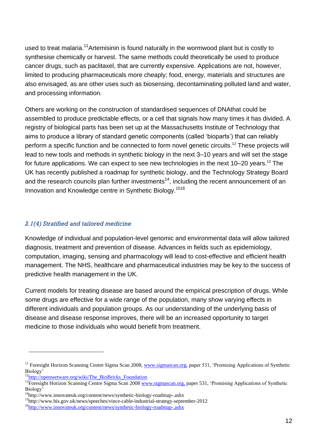used to treat malaria.<sup>11</sup>Artemisinin is found naturally in the wormwood plant but is costly to synthesise chemically or harvest. The same methods could theoretically be used to produce cancer drugs, such as paclitaxel, that are currently expensive. Applications are not, however, limited to producing pharmaceuticals more cheaply; food, energy, materials and structures are also envisaged, as are other uses such as biosensing, decontaminating polluted land and water, and processing information.

Others are working on the construction of standardised sequences of DNAthat could be assembled to produce predictable effects, or a cell that signals how many times it has divided. A registry of biological parts has been set up at the Massachusetts Institute of Technology that aims to produce a library of standard genetic components (called 'bioparts') that can reliably perform a specific function and be connected to form novel genetic circuits.<sup>12</sup> These projects will lead to new tools and methods in synthetic biology in the next 3–10 years and will set the stage for future applications. We can expect to see new technologies in the next 10–20 years.<sup>13</sup> The UK has recently published a roadmap for synthetic biology, and the Technology Strategy Board and the research councils plan further investments<sup>14</sup>, including the recent announcement of an Innovation and Knowledge centre in Synthetic Biology.<sup>1516</sup>

#### *2.1(4) Stratified and tailored medicine*

Knowledge of individual and population-level genomic and environmental data will allow tailored diagnosis, treatment and prevention of disease. Advances in fields such as epidemiology, computation, imaging, sensing and pharmacology will lead to cost-effective and efficient health management. The NHS, healthcare and pharmaceutical industries may be key to the success of predictive health management in the UK.

Current models for treating disease are based around the empirical prescription of drugs. While some drugs are effective for a wide range of the population, many show varying effects in different individuals and population groups. As our understanding of the underlying basis of disease and disease response improves, there will be an increased opportunity to target medicine to those individuals who would benefit from treatment.

<sup>&</sup>lt;sup>11</sup> Foresight Horizon Scanning Centre Sigma Scan 2008[, www.sigmascan.org,](http://www.sigmascan.org/) paper 531, 'Promising Applications of Synthetic Biology'

<sup>&</sup>lt;sup>12</sup>[http://openwetware.org/wiki/The\\_BioBricks\\_Foundation](http://openwetware.org/wiki/The_BioBricks_Foundation)

<sup>&</sup>lt;sup>13</sup>Foresight Horizon Scanning Centre Sigma Scan 200[8 www.sigmascan.org,](http://www.sigmascan.org/) paper 531, 'Promising Applications of Synthetic Biology'

<sup>&</sup>lt;sup>14</sup>http://www.innovateuk.org/content/news/synthetic-biology-roadmap-.ashx

<sup>15</sup>http://www.bis.gov.uk/news/speeches/vince-cable-industrial-strategy-september-2012

<sup>16</sup><http://www.innovateuk.org/content/news/synthetic-biology-roadmap-.ashx>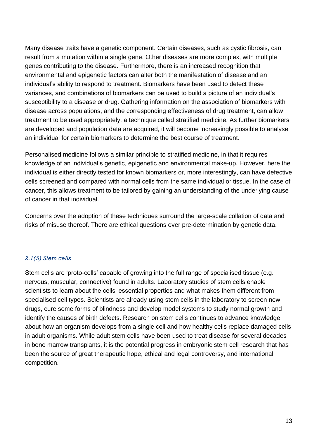Many disease traits have a genetic component. Certain diseases, such as cystic fibrosis, can result from a mutation within a single gene. Other diseases are more complex, with multiple genes contributing to the disease. Furthermore, there is an increased recognition that environmental and epigenetic factors can alter both the manifestation of disease and an individual's ability to respond to treatment. Biomarkers have been used to detect these variances, and combinations of biomarkers can be used to build a picture of an individual's susceptibility to a disease or drug. Gathering information on the association of biomarkers with disease across populations, and the corresponding effectiveness of drug treatment, can allow treatment to be used appropriately, a technique called stratified medicine. As further biomarkers are developed and population data are acquired, it will become increasingly possible to analyse an individual for certain biomarkers to determine the best course of treatment.

Personalised medicine follows a similar principle to stratified medicine, in that it requires knowledge of an individual's genetic, epigenetic and environmental make-up. However, here the individual is either directly tested for known biomarkers or, more interestingly, can have defective cells screened and compared with normal cells from the same individual or tissue. In the case of cancer, this allows treatment to be tailored by gaining an understanding of the underlying cause of cancer in that individual.

Concerns over the adoption of these techniques surround the large-scale collation of data and risks of misuse thereof. There are ethical questions over pre-determination by genetic data.

#### *2.1(5) Stem cells*

Stem cells are 'proto-cells' capable of growing into the full range of specialised tissue (e.g. nervous, muscular, connective) found in adults. Laboratory studies of stem cells enable scientists to learn about the cells' essential properties and what makes them different from specialised cell types. Scientists are already using stem cells in the laboratory to screen new drugs, cure some forms of blindness and develop model systems to study normal growth and identify the causes of birth defects. Research on stem cells continues to advance knowledge about how an organism develops from a single cell and how healthy cells replace damaged cells in adult organisms. While adult stem cells have been used to treat disease for several decades in bone marrow transplants, it is the potential progress in embryonic stem cell research that has been the source of great therapeutic hope, ethical and legal controversy, and international competition.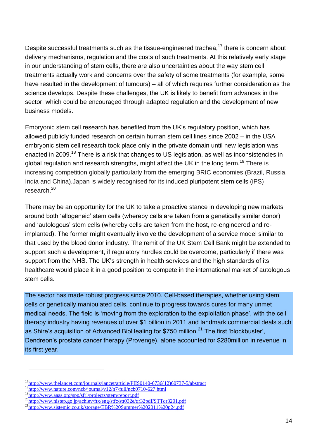Despite successful treatments such as the tissue-engineered trachea, $17$  there is concern about delivery mechanisms, regulation and the costs of such treatments. At this relatively early stage in our understanding of stem cells, there are also uncertainties about the way stem cell treatments actually work and concerns over the safety of some treatments (for example, some have resulted in the development of tumours) – all of which requires further consideration as the science develops. Despite these challenges, the UK is likely to benefit from advances in the sector, which could be encouraged through adapted regulation and the development of new business models.

Embryonic stem cell research has benefited from the UK's regulatory position, which has allowed publicly funded research on certain human stem cell lines since 2002 – in the USA embryonic stem cell research took place only in the private domain until new legislation was enacted in 2009.<sup>18</sup> There is a risk that changes to US legislation, as well as inconsistencies in global regulation and research strengths, might affect the UK in the long term.<sup>19</sup> There is increasing competition globally particularly from the emerging BRIC economies (Brazil, Russia, India and China).Japan is widely recognised for its induced pluripotent stem cells (iPS) research. 20

There may be an opportunity for the UK to take a proactive stance in developing new markets around both 'allogeneic' stem cells (whereby cells are taken from a genetically similar donor) and 'autologous' stem cells (whereby cells are taken from the host, re-engineered and reimplanted). The former might eventually involve the development of a service model similar to that used by the blood donor industry. The remit of the UK Stem Cell Bank might be extended to support such a development, if regulatory hurdles could be overcome, particularly if there was support from the NHS. The UK's strength in health services and the high standards of its healthcare would place it in a good position to compete in the international market of autologous stem cells.

The sector has made robust progress since 2010. Cell-based therapies, whether using stem cells or genetically manipulated cells, continue to progress towards cures for many unmet medical needs. The field is 'moving from the exploration to the exploitation phase', with the cell therapy industry having revenues of over \$1 billion in 2011 and landmark commercial deals such as Shire's acquisition of Advanced BioHealing for \$750 million.<sup>21</sup> The first 'blockbuster', Dendreon's prostate cancer therapy (Provenge), alone accounted for \$280million in revenue in its first year.

<sup>17</sup>[http://www.thelancet.com/journals/lancet/article/PIIS0140-6736\(12\)60737-5/abstract](http://www.thelancet.com/journals/lancet/article/PIIS0140-6736(12)60737-5/abstract)

<sup>&</sup>lt;sup>18</sup><http://www.nature.com/ncb/journal/v12/n7/full/ncb0710-627.html>

<sup>19</sup><http://www.aaas.org/spp/sfrl/projects/stem/report.pdf>

<sup>&</sup>lt;sup>20</sup><http://www.nistep.go.jp/achiev/ftx/eng/stfc/stt032e/qr32pdf/STTqr3201.pdf>

 $^{21}$ <http://www.sistemic.co.uk/storage/EBR%20Summer%202011%20p24.pdf>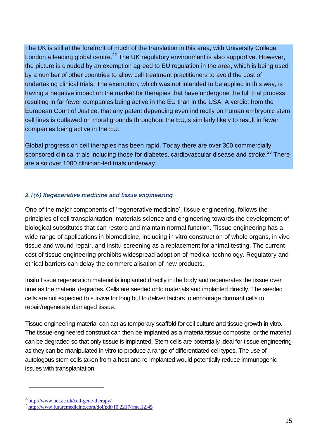The UK is still at the forefront of much of the translation in this area, with University College London a leading global centre.<sup>22</sup> The UK regulatory environment is also supportive. However, the picture is clouded by an exemption agreed to EU regulation in the area, which is being used by a number of other countries to allow cell treatment practitioners to avoid the cost of undertaking clinical trials. The exemption, which was not intended to be applied in this way, is having a negative impact on the market for therapies that have undergone the full trial process, resulting in far fewer companies being active in the EU than in the USA. A verdict from the European Court of Justice, that any patent depending even indirectly on human embryonic stem cell lines is outlawed on moral grounds throughout the EU,is similarly likely to result in fewer companies being active in the EU.

Global progress on cell therapies has been rapid. Today there are over 300 commercially sponsored clinical trials including those for diabetes, cardiovascular disease and stroke.<sup>23</sup> There are also over 1000 clinician-led trials underway.

#### *2.1(6) Regenerative medicine and tissue engineering*

One of the major components of 'regenerative medicine', tissue engineering, follows the principles of cell transplantation, materials science and engineering towards the development of biological substitutes that can restore and maintain normal function. Tissue engineering has a wide range of applications in biomedicine, including in vitro construction of whole organs, in vivo tissue and wound repair, and insitu screening as a replacement for animal testing. The current cost of tissue engineering prohibits widespread adoption of medical technology. Regulatory and ethical barriers can delay the commercialisation of new products.

Insitu tissue regeneration material is implanted directly in the body and regenerates the tissue over time as the material degrades. Cells are seeded onto materials and implanted directly. The seeded cells are not expected to survive for long but to deliver factors to encourage dormant cells to repair/regenerate damaged tissue.

Tissue engineering material can act as temporary scaffold for cell culture and tissue growth in vitro. The tissue-engineered construct can then be implanted as a material/tissue composite, or the material can be degraded so that only tissue is implanted. Stem cells are potentially ideal for tissue engineering as they can be manipulated in vitro to produce a range of differentiated cell types. The use of autologous stem cells taken from a host and re-implanted would potentially reduce immunogenic issues with transplantation.

 $^{22}$ <http://www.ucl.ac.uk/cell-gene-therapy/>

 $23$ <sub><http://www.futuremedicine.com/doi/pdf/10.2217/rme.12.45></sub>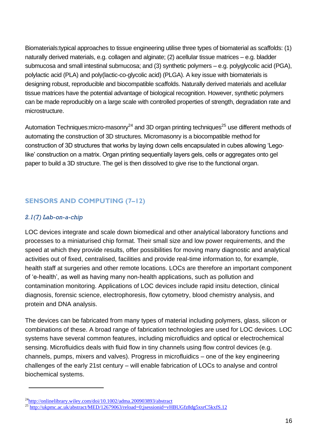Biomaterials:typical approaches to tissue engineering utilise three types of biomaterial as scaffolds: (1) naturally derived materials, e.g. collagen and alginate; (2) acellular tissue matrices – e.g. bladder submucosa and small intestinal submucosa; and (3) synthetic polymers – e.g. polyglycolic acid (PGA), polylactic acid (PLA) and poly(lactic-co-glycolic acid) (PLGA). A key issue with biomaterials is designing robust, reproducible and biocompatible scaffolds. Naturally derived materials and acellular tissue matrices have the potential advantage of biological recognition. However, synthetic polymers can be made reproducibly on a large scale with controlled properties of strength, degradation rate and microstructure.

Automation Techniques:micro-masonry<sup>24</sup> and 3D organ printing techniques<sup>25</sup> use different methods of automating the construction of 3D structures. Micromasonry is a biocompatible method for construction of 3D structures that works by laying down cells encapsulated in cubes allowing 'Legolike' construction on a matrix. Organ printing sequentially layers gels, cells or aggregates onto gel paper to build a 3D structure. The gel is then dissolved to give rise to the functional organ.

### **SENSORS AND COMPUTING (7–12)**

#### *2.1(7) Lab-on-a-chip*

l

LOC devices integrate and scale down biomedical and other analytical laboratory functions and processes to a miniaturised chip format. Their small size and low power requirements, and the speed at which they provide results, offer possibilities for moving many diagnostic and analytical activities out of fixed, centralised, facilities and provide real-time information to, for example, health staff at surgeries and other remote locations. LOCs are therefore an important component of 'e-health', as well as having many non-health applications, such as pollution and contamination monitoring. Applications of LOC devices include rapid insitu detection, clinical diagnosis, forensic science, electrophoresis, flow cytometry, blood chemistry analysis, and protein and DNA analysis.

The devices can be fabricated from many types of material including polymers, glass, silicon or combinations of these. A broad range of fabrication technologies are used for LOC devices. LOC systems have several common features, including microfluidics and optical or electrochemical sensing. Microfluidics deals with fluid flow in tiny channels using flow control devices (e.g. channels, pumps, mixers and valves). Progress in microfluidics – one of the key engineering challenges of the early 21st century – will enable fabrication of LOCs to analyse and control biochemical systems.

 $^{24}$ <http://onlinelibrary.wiley.com/doi/10.1002/adma.200903893/abstract>

<sup>&</sup>lt;sup>25</sup> <http://ukpmc.ac.uk/abstract/MED/12679063/reload=0;jsessionid=vHBUGfz8dg5xsrC5kxfS.12>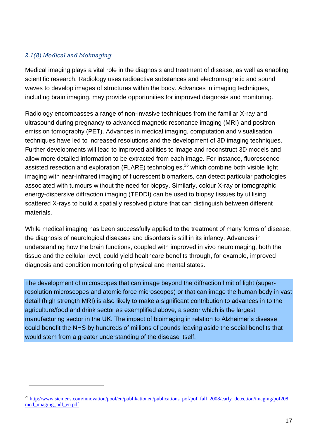#### *2.1(8) Medical and bioimaging*

l

Medical imaging plays a vital role in the diagnosis and treatment of disease, as well as enabling scientific research. Radiology uses radioactive substances and electromagnetic and sound waves to develop images of structures within the body. Advances in imaging techniques, including brain imaging, may provide opportunities for improved diagnosis and monitoring.

Radiology encompasses a range of non-invasive techniques from the familiar X-ray and ultrasound during pregnancy to advanced magnetic resonance imaging (MRI) and positron emission tomography (PET). Advances in medical imaging, computation and visualisation techniques have led to increased resolutions and the development of 3D imaging techniques. Further developments will lead to improved abilities to image and reconstruct 3D models and allow more detailed information to be extracted from each image. For instance, fluorescenceassisted resection and exploration (FLARE) technologies,<sup>26</sup> which combine both visible light imaging with near-infrared imaging of fluorescent biomarkers, can detect particular pathologies associated with tumours without the need for biopsy. Similarly, colour X-ray or tomographic energy-dispersive diffraction imaging (TEDDI) can be used to biopsy tissues by utilising scattered X-rays to build a spatially resolved picture that can distinguish between different materials.

While medical imaging has been successfully applied to the treatment of many forms of disease, the diagnosis of neurological diseases and disorders is still in its infancy. Advances in understanding how the brain functions, coupled with improved in vivo neuroimaging, both the tissue and the cellular level, could yield healthcare benefits through, for example, improved diagnosis and condition monitoring of physical and mental states.

The development of microscopes that can image beyond the diffraction limit of light (superresolution microscopes and atomic force microscopes) or that can image the human body in vast detail (high strength MRI) is also likely to make a significant contribution to advances in to the agriculture/food and drink sector as exemplified above, a sector which is the largest manufacturing sector in the UK. The impact of bioimaging in relation to Alzheimer's disease could benefit the NHS by hundreds of millions of pounds leaving aside the social benefits that would stem from a greater understanding of the disease itself.

<sup>&</sup>lt;sup>26</sup> http://www.siemens.com/innovation/pool/en/publikationen/publications\_pof/pof\_fall\_2008/early\_detection/imaging/pof208 [med\\_imaging\\_pdf\\_en.pdf](http://www.siemens.com/innovation/pool/en/publikationen/publications_pof/pof_fall_2008/early_detection/imaging/pof208_med_imaging_pdf_en.pdf)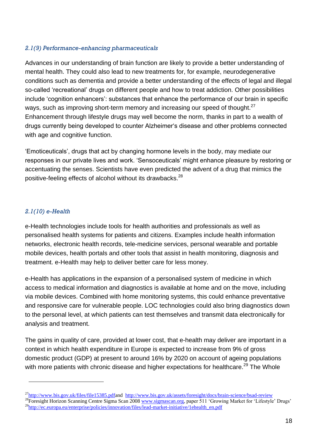#### *2.1(9) Performance-enhancing pharmaceuticals*

Advances in our understanding of brain function are likely to provide a better understanding of mental health. They could also lead to new treatments for, for example, neurodegenerative conditions such as dementia and provide a better understanding of the effects of legal and illegal so-called 'recreational' drugs on different people and how to treat addiction. Other possibilities include 'cognition enhancers': substances that enhance the performance of our brain in specific ways, such as improving short-term memory and increasing our speed of thought.<sup>27</sup> Enhancement through lifestyle drugs may well become the norm, thanks in part to a wealth of drugs currently being developed to counter Alzheimer's disease and other problems connected with age and cognitive function.

'Emoticeuticals', drugs that act by changing hormone levels in the body, may mediate our responses in our private lives and work. 'Sensoceuticals' might enhance pleasure by restoring or accentuating the senses. Scientists have even predicted the advent of a drug that mimics the positive-feeling effects of alcohol without its drawbacks.<sup>28</sup>

#### *2.1(10) e-Health*

l

e-Health technologies include tools for health authorities and professionals as well as personalised health systems for patients and citizens. Examples include health information networks, electronic health records, tele-medicine services, personal wearable and portable mobile devices, health portals and other tools that assist in health monitoring, diagnosis and treatment. e-Health may help to deliver better care for less money.

e-Health has applications in the expansion of a personalised system of medicine in which access to medical information and diagnostics is available at home and on the move, including via mobile devices. Combined with home monitoring systems, this could enhance preventative and responsive care for vulnerable people. LOC technologies could also bring diagnostics down to the personal level, at which patients can test themselves and transmit data electronically for analysis and treatment.

The gains in quality of care, provided at lower cost, that e-health may deliver are important in a context in which health expenditure in Europe is expected to increase from 9% of gross domestic product (GDP) at present to around 16% by 2020 on account of ageing populations with more patients with chronic disease and higher expectations for healthcare.<sup>29</sup> The Whole

 $^{27}$ [http://www.bis.gov.uk/files/file15385.pdfa](http://www.bis.gov.uk/files/file15385.pdf)nd <http://www.bis.gov.uk/assets/foresight/docs/brain-science/bsad-review>

<sup>&</sup>lt;sup>28</sup>Foresight Horizon Scanning Centre Sigma Scan 200[8 www.sigmascan.org](http://www.sigmascan.org/), paper 511 'Growing Market for 'Lifestyle' Drugs' <sup>29</sup>[http://ec.europa.eu/enterprise/policies/innovation/files/lead-market-initiative/1ehealth\\_en.pdf](http://ec.europa.eu/enterprise/policies/innovation/files/lead-market-initiative/1ehealth_en.pdf)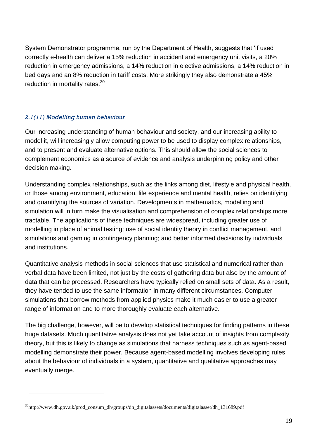System Demonstrator programme, run by the Department of Health, suggests that 'if used correctly e-health can deliver a 15% reduction in accident and emergency unit visits, a 20% reduction in emergency admissions, a 14% reduction in elective admissions, a 14% reduction in bed days and an 8% reduction in tariff costs. More strikingly they also demonstrate a 45% reduction in mortality rates.<sup>30</sup>

#### *2.1(11) Modelling human behaviour*

l

Our increasing understanding of human behaviour and society, and our increasing ability to model it, will increasingly allow computing power to be used to display complex relationships, and to present and evaluate alternative options. This should allow the social sciences to complement economics as a source of evidence and analysis underpinning policy and other decision making.

Understanding complex relationships, such as the links among diet, lifestyle and physical health, or those among environment, education, life experience and mental health, relies on identifying and quantifying the sources of variation. Developments in mathematics, modelling and simulation will in turn make the visualisation and comprehension of complex relationships more tractable. The applications of these techniques are widespread, including greater use of modelling in place of animal testing; use of social identity theory in conflict management, and simulations and gaming in contingency planning; and better informed decisions by individuals and institutions.

Quantitative analysis methods in social sciences that use statistical and numerical rather than verbal data have been limited, not just by the costs of gathering data but also by the amount of data that can be processed. Researchers have typically relied on small sets of data. As a result, they have tended to use the same information in many different circumstances. Computer simulations that borrow methods from applied physics make it much easier to use a greater range of information and to more thoroughly evaluate each alternative.

The big challenge, however, will be to develop statistical techniques for finding patterns in these huge datasets. Much quantitative analysis does not yet take account of insights from complexity theory, but this is likely to change as simulations that harness techniques such as agent-based modelling demonstrate their power. Because agent-based modelling involves developing rules about the behaviour of individuals in a system, quantitative and qualitative approaches may eventually merge.

<sup>&</sup>lt;sup>30</sup>http://www.dh.gov.uk/prod\_consum\_dh/groups/dh\_digitalassets/documents/digitalasset/dh\_131689.pdf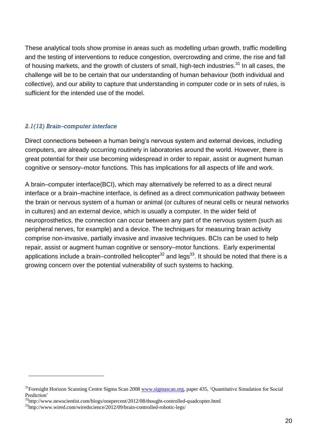These analytical tools show promise in areas such as modelling urban growth, traffic modelling and the testing of interventions to reduce congestion, overcrowding and crime, the rise and fall of housing markets, and the growth of clusters of small, high-tech industries.<sup>31</sup> In all cases, the challenge will be to be certain that our understanding of human behaviour (both individual and collective), and our ability to capture that understanding in computer code or in sets of rules, is sufficient for the intended use of the model.

#### *2.1(12) Brain–computer interface*

Direct connections between a human being's nervous system and external devices, including computers, are already occurring routinely in laboratories around the world. However, there is great potential for their use becoming widespread in order to repair, assist or augment human cognitive or sensory–motor functions. This has implications for all aspects of life and work.

A brain–computer interface(BCI), which may alternatively be referred to as a direct neural interface or a brain–machine interface, is defined as a direct communication pathway between the brain or nervous system of a human or animal (or cultures of neural cells or neural networks in cultures) and an external device, which is usually a computer. In the wider field of neuroprosthetics, the connection can occur between any part of the nervous system (such as peripheral nerves, for example) and a device. The techniques for measuring brain activity comprise non-invasive, partially invasive and invasive techniques. BCIs can be used to help repair, assist or augment human cognitive or sensory–motor functions. Early experimental applications include a brain–controlled helicopter<sup>32</sup> and legs<sup>33</sup>. It should be noted that there is a growing concern over the potential vulnerability of such systems to hacking.

<sup>&</sup>lt;sup>31</sup>Foresight Horizon Scanning Centre Sigma Scan 200[8 www.sigmascan.org,](http://www.sigmascan.org/) paper 435, 'Quantitative Simulation for Social Prediction'

<sup>32</sup>http://www.newscientist.com/blogs/onepercent/2012/08/thought-controlled-quadcopter.html

<sup>33</sup>http://www.wired.com/wiredscience/2012/09/brain-controlled-robotic-legs/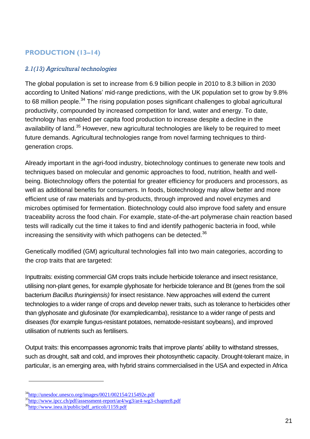### **PRODUCTION (13–14)**

#### *2.1(13) Agricultural technologies*

The global population is set to increase from 6.9 billion people in 2010 to 8.3 billion in 2030 according to United Nations' mid-range predictions, with the UK population set to grow by 9.8% to 68 million people.<sup>34</sup> The rising population poses significant challenges to global agricultural productivity, compounded by increased competition for land, water and energy. To date, technology has enabled per capita food production to increase despite a decline in the availability of land.<sup>35</sup> However, new agricultural technologies are likely to be required to meet future demands. Agricultural technologies range from novel farming techniques to thirdgeneration crops.

Already important in the agri-food industry, biotechnology continues to generate new tools and techniques based on molecular and genomic approaches to food, nutrition, health and wellbeing. Biotechnology offers the potential for greater efficiency for producers and processors, as well as additional benefits for consumers. In foods, biotechnology may allow better and more efficient use of raw materials and by-products, through improved and novel enzymes and microbes optimised for fermentation. Biotechnology could also improve food safety and ensure traceability across the food chain. For example, state-of-the-art polymerase chain reaction based tests will radically cut the time it takes to find and identify pathogenic bacteria in food, while increasing the sensitivity with which pathogens can be detected.<sup>36</sup>

Genetically modified (GM) agricultural technologies fall into two main categories, according to the crop traits that are targeted:

Inputtraits: existing commercial GM crops traits include herbicide tolerance and insect resistance, utilising non-plant genes, for example glyphosate for herbicide tolerance and Bt (genes from the soil bacterium *Bacillus thuringiensis)* for insect resistance. New approaches will extend the current technologies to a wider range of crops and develop newer traits, such as tolerance to herbicides other than glyphosate and glufosinate (for exampledicamba), resistance to a wider range of pests and diseases (for example fungus-resistant potatoes, nematode-resistant soybeans), and improved utilisation of nutrients such as fertilisers.

Output traits: this encompasses agronomic traits that improve plants' ability to withstand stresses, such as drought, salt and cold, and improves their photosynthetic capacity. Drought-tolerant maize, in particular, is an emerging area, with hybrid strains commercialised in the USA and expected in Africa

<sup>34</sup><http://unesdoc.unesco.org/images/0021/002154/215492e.pdf>

<sup>35</sup><http://www.ipcc.ch/pdf/assessment-report/ar4/wg3/ar4-wg3-chapter8.pdf>

<sup>36</sup>[http://www.inea.it/public/pdf\\_articoli/1159.pdf](http://www.inea.it/public/pdf_articoli/1159.pdf)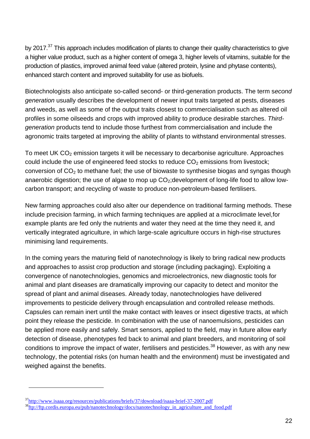by 2017.<sup>37</sup> This approach includes modification of plants to change their quality characteristics to give a higher value product, such as a higher content of omega 3, higher levels of vitamins, suitable for the production of plastics, improved animal feed value (altered protein, lysine and phytase contents), enhanced starch content and improved suitability for use as biofuels.

Biotechnologists also anticipate so-called second- or third-generation products. The term s*econd generation* usually describes the development of newer input traits targeted at pests, diseases and weeds, as well as some of the output traits closest to commercialisation such as altered oil profiles in some oilseeds and crops with improved ability to produce desirable starches. *Thirdgeneration* products tend to include those furthest from commercialisation and include the agronomic traits targeted at improving the ability of plants to withstand environmental stresses.

To meet UK  $CO<sub>2</sub>$  emission targets it will be necessary to decarbonise agriculture. Approaches could include the use of engineered feed stocks to reduce  $CO<sub>2</sub>$  emissions from livestock; conversion of  $CO<sub>2</sub>$  to methane fuel; the use of biowaste to synthesise biogas and syngas though anaerobic digestion; the use of algae to mop up  $CO<sub>2</sub>$ ; development of long-life food to allow lowcarbon transport; and recycling of waste to produce non-petroleum-based fertilisers.

New farming approaches could also alter our dependence on traditional farming methods. These include precision farming, in which farming techniques are applied at a microclimate level,for example plants are fed only the nutrients and water they need at the time they need it, and vertically integrated agriculture, in which large-scale agriculture occurs in high-rise structures minimising land requirements.

In the coming years the maturing field of nanotechnology is likely to bring radical new products and approaches to assist crop production and storage (including packaging). Exploiting a convergence of nanotechnologies, genomics and microelectronics, new diagnostic tools for animal and plant diseases are dramatically improving our capacity to detect and monitor the spread of plant and animal diseases. Already today, nanotechnologies have delivered improvements to pesticide delivery through encapsulation and controlled release methods. Capsules can remain inert until the make contact with leaves or insect digestive tracts, at which point they release the pesticide. In combination with the use of nanoemulsions, pesticides can be applied more easily and safely. Smart sensors, applied to the field, may in future allow early detection of disease, phenotypes fed back to animal and plant breeders, and monitoring of soil conditions to improve the impact of water, fertilisers and pesticides.<sup>38</sup> However, as with any new technology, the potential risks (on human health and the environment) must be investigated and weighed against the benefits.

<sup>37</sup><http://www.isaaa.org/resources/publications/briefs/37/download/isaaa-brief-37-2007.pdf> <sup>38</sup>[ftp://ftp.cordis.europa.eu/pub/nanotechnology/docs/nanotechnology\\_in\\_agriculture\\_and\\_food.pdf](ftp://ftp.cordis.europa.eu/pub/nanotechnology/docs/nanotechnology_in_agriculture_and_food.pdf)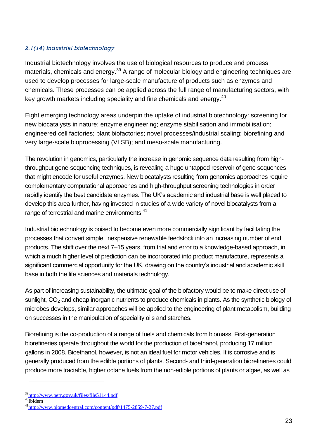#### *2.1(14) Industrial biotechnology*

Industrial biotechnology involves the use of biological resources to produce and process materials, chemicals and energy.<sup>39</sup> A range of molecular biology and engineering techniques are used to develop processes for large-scale manufacture of products such as enzymes and chemicals. These processes can be applied across the full range of manufacturing sectors, with key growth markets including speciality and fine chemicals and energy.<sup>40</sup>

Eight emerging technology areas underpin the uptake of industrial biotechnology: screening for new biocatalysts in nature; enzyme engineering; enzyme stabilisation and immobilisation; engineered cell factories; plant biofactories; novel processes/industrial scaling; biorefining and very large-scale bioprocessing (VLSB); and meso-scale manufacturing.

The revolution in genomics, particularly the increase in genomic sequence data resulting from highthroughput gene-sequencing techniques, is revealing a huge untapped reservoir of gene sequences that might encode for useful enzymes. New biocatalysts resulting from genomics approaches require complementary computational approaches and high-throughput screening technologies in order rapidly identify the best candidate enzymes. The UK's academic and industrial base is well placed to develop this area further, having invested in studies of a wide variety of novel biocatalysts from a range of terrestrial and marine environments.<sup>41</sup>

Industrial biotechnology is poised to become even more commercially significant by facilitating the processes that convert simple, inexpensive renewable feedstock into an increasing number of end products. The shift over the next 7–15 years, from trial and error to a knowledge-based approach, in which a much higher level of prediction can be incorporated into product manufacture, represents a significant commercial opportunity for the UK, drawing on the country's industrial and academic skill base in both the life sciences and materials technology.

As part of increasing sustainability, the ultimate goal of the biofactory would be to make direct use of sunlight, CO<sub>2</sub> and cheap inorganic nutrients to produce chemicals in plants. As the synthetic biology of microbes develops, similar approaches will be applied to the engineering of plant metabolism, building on successes in the manipulation of speciality oils and starches.

Biorefining is the co-production of a range of fuels and chemicals from biomass. First-generation biorefineries operate throughout the world for the production of bioethanol, producing 17 million gallons in 2008. Bioethanol, however, is not an ideal fuel for motor vehicles. It is corrosive and is generally produced from the edible portions of plants. Second- and third-generation biorefineries could produce more tractable, higher octane fuels from the non-edible portions of plants or algae, as well as

 $40$ Thidem

<sup>39</sup><http://www.berr.gov.uk/files/file51144.pdf>

<sup>41</sup><http://www.biomedcentral.com/content/pdf/1475-2859-7-27.pdf>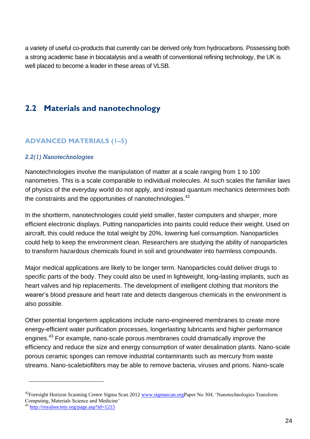a variety of useful co-products that currently can be derived only from hydrocarbons. Possessing both a strong academic base in biocatalysis and a wealth of conventional refining technology, the UK is well placed to become a leader in these areas of VLSB.

# <span id="page-23-0"></span>**2.2 Materials and nanotechnology**

#### **ADVANCED MATERIALS (1–5)**

#### *2.2(1) Nanotechnologies*

Nanotechnologies involve the manipulation of matter at a scale ranging from 1 to 100 nanometres. This is a scale comparable to individual molecules. At such scales the familiar laws of physics of the everyday world do not apply, and instead quantum mechanics determines both the constraints and the opportunities of nanotechnologies. $42$ 

In the shortterm, nanotechnologies could yield smaller, faster computers and sharper, more efficient electronic displays. Putting nanoparticles into paints could reduce their weight. Used on aircraft, this could reduce the total weight by 20%, lowering fuel consumption. Nanoparticles could help to keep the environment clean. Researchers are studying the ability of nanoparticles to transform hazardous chemicals found in soil and groundwater into harmless compounds.

Major medical applications are likely to be longer term. Nanoparticles could deliver drugs to specific parts of the body. They could also be used in lightweight, long-lasting implants, such as heart valves and hip replacements. The development of intelligent clothing that monitors the wearer's blood pressure and heart rate and detects dangerous chemicals in the environment is also possible.

Other potential longerterm applications include nano-engineered membranes to create more energy-efficient water purification processes, longerlasting lubricants and higher performance engines.<sup>43</sup> For example, nano-scale porous membranes could dramatically improve the efficiency and reduce the size and energy consumption of water desalination plants. Nano-scale porous ceramic sponges can remove industrial contaminants such as mercury from waste streams. Nano-scalebiofilters may be able to remove bacteria, viruses and prions. Nano-scale

<sup>&</sup>lt;sup>42</sup>Foresight Horizon Scanning Centre Sigma Scan 201[2 www.sigmascan.org](http://www.sigmascan.org/)Paper No 304, 'Nanotechnologies Transform Computing, Materials Science and Medicine'

<sup>43</sup> <http://royalsociety.org/page.asp?id=1215>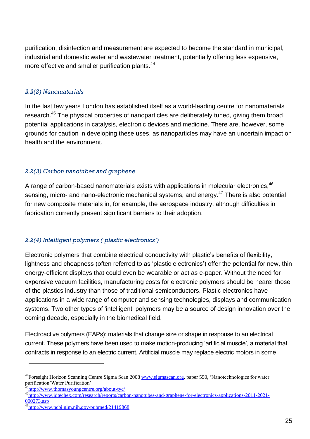purification, disinfection and measurement are expected to become the standard in municipal, industrial and domestic water and wastewater treatment, potentially offering less expensive, more effective and smaller purification plants.<sup>44</sup>

#### *2.2(2) Nanomaterials*

In the last few years London has established itself as a world-leading centre for nanomaterials research.<sup>45</sup> The physical properties of nanoparticles are deliberately tuned, giving them broad potential applications in catalysis, electronic devices and medicine. There are, however, some grounds for caution in developing these uses, as nanoparticles may have an uncertain impact on health and the environment.

#### *2.2(3) Carbon nanotubes and graphene*

A range of carbon-based nanomaterials exists with applications in molecular electronics.<sup>46</sup> sensing, micro- and nano-electronic mechanical systems, and energy.<sup>47</sup> There is also potential for new composite materials in, for example, the aerospace industry, although difficulties in fabrication currently present significant barriers to their adoption.

#### *2.2(4) Intelligent polymers ('plastic electronics')*

Electronic polymers that combine electrical conductivity with plastic's benefits of flexibility, lightness and cheapness (often referred to as 'plastic electronics') offer the potential for new, thin energy-efficient displays that could even be wearable or act as e-paper. Without the need for expensive vacuum facilities, manufacturing costs for electronic polymers should be nearer those of the plastics industry than those of traditional semiconductors. Plastic electronics have applications in a wide range of computer and sensing technologies, displays and communication systems. Two other types of 'intelligent' polymers may be a source of design innovation over the coming decade, especially in the biomedical field.

Electroactive polymers (EAPs): materials that change size or shape in response to an electrical current. These polymers have been used to make motion-producing 'artificial muscle', a material that contracts in response to an electric current. Artificial muscle may replace electric motors in some

<sup>&</sup>lt;sup>44</sup>Foresight Horizon Scanning Centre Sigma Scan 200[8 www.sigmascan.org,](http://www.sigmascan.org/) paper 550, 'Nanotechnologies for water purification'Water Purification'

<sup>&</sup>lt;sup>45</sup><http://www.thomasyoungcentre.org/about-tyc/>

<sup>46</sup>[http://www.idtechex.com/research/reports/carbon-nanotubes-and-graphene-for-electronics-applications-2011-2021-](http://www.idtechex.com/research/reports/carbon-nanotubes-and-graphene-for-electronics-applications-2011-2021-000273.asp) [000273.asp](http://www.idtechex.com/research/reports/carbon-nanotubes-and-graphene-for-electronics-applications-2011-2021-000273.asp)

<sup>47</sup><http://www.ncbi.nlm.nih.gov/pubmed/21419868>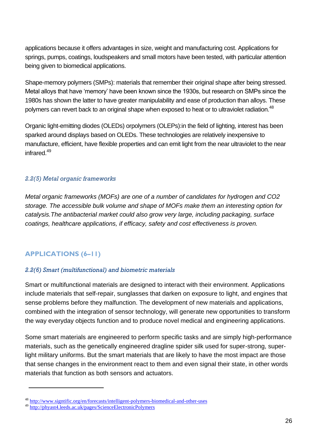applications because it offers advantages in size, weight and manufacturing cost. Applications for springs, pumps, coatings, loudspeakers and small motors have been tested, with particular attention being given to biomedical applications.

Shape-memory polymers (SMPs): materials that remember their original shape after being stressed. Metal alloys that have 'memory' have been known since the 1930s, but research on SMPs since the 1980s has shown the latter to have greater manipulability and ease of production than alloys. These polymers can revert back to an original shape when exposed to heat or to ultraviolet radiation.<sup>48</sup>

Organic light-emitting diodes (OLEDs) orpolymers (OLEPs):in the field of lighting, interest has been sparked around displays based on OLEDs. These technologies are relatively inexpensive to manufacture, efficient, have flexible properties and can emit light from the near ultraviolet to the near infrared<sup>49</sup>

#### *2.2(5) Metal organic frameworks*

*Metal organic frameworks (MOFs) are one of a number of candidates for hydrogen and CO2 storage. The accessible bulk volume and shape of MOFs make them an interesting option for catalysis.The antibacterial market could also grow very large, including packaging, surface coatings, healthcare applications, if efficacy, safety and cost effectiveness is proven.*

### **APPLICATIONS (6–11)**

l

#### *2.2(6) Smart (multifunctional) and biometric materials*

Smart or multifunctional materials are designed to interact with their environment. Applications include materials that self-repair, sunglasses that darken on exposure to light, and engines that sense problems before they malfunction. The development of new materials and applications, combined with the integration of sensor technology, will generate new opportunities to transform the way everyday objects function and to produce novel medical and engineering applications.

Some smart materials are engineered to perform specific tasks and are simply high-performance materials, such as the genetically engineered dragline spider silk used for super-strong, superlight military uniforms. But the smart materials that are likely to have the most impact are those that sense changes in the environment react to them and even signal their state, in other words materials that function as both sensors and actuators.

<sup>&</sup>lt;sup>48</sup> <http://www.signtific.org/en/forecasts/intelligent-polymers-biomedical-and-other-uses>

<sup>&</sup>lt;sup>49</sup> <http://phyast4.leeds.ac.uk/pages/ScienceElectronicPolymers>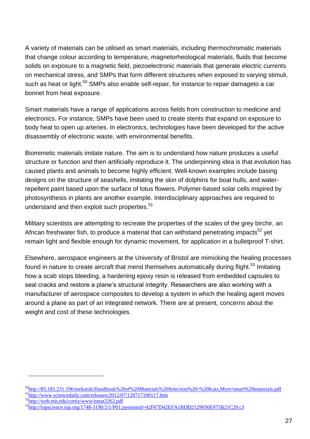A variety of materials can be utilised as smart materials, including thermochromatic materials that change colour according to temperature, magnetorheological materials, fluids that become solids on exposure to a magnetic field, piezoelectronic materials that generate electric currents on mechanical stress, and SMPs that form different structures when exposed to varying stimuli, such as heat or light.<sup>50</sup> SMPs also enable self-repair, for instance to repair damageto a car bonnet from heat exposure.

Smart materials have a range of applications across fields from construction to medicine and electronics. For instance, SMPs have been used to create stents that expand on exposure to body heat to open up arteries. In electronics, technologies have been developed for the active disassembly of electronic waste, with environmental benefits.

Biomimetic materials imitate nature. The aim is to understand how nature produces a useful structure or function and then artificially reproduce it. The underpinning idea is that evolution has caused plants and animals to become highly efficient. Well-known examples include basing designs on the structure of seashells, imitating the skin of dolphins for boat hulls, and waterrepellent paint based upon the surface of lotus flowers. Polymer-based solar cells inspired by photosynthesis in plants are another example. Interdisciplinary approaches are required to understand and then exploit such properties.<sup>51</sup>

Military scientists are attempting to recreate the properties of the scales of the grey birchir, an African freshwater fish, to produce a material that can withstand penetrating impacts<sup>52</sup> yet remain light and flexible enough for dynamic movement, for application in a bulletproof T-shirt.

Elsewhere, aerospace engineers at the University of Bristol are mimicking the healing processes found in nature to create aircraft that mend themselves automatically during flight.<sup>53</sup> Imitating how a scab stops bleeding, a hardening epoxy resin is released from embedded capsules to seal cracks and restore a plane's structural integrity. Researchers are also working with a manufacturer of aerospace composites to develop a system in which the healing agent moves around a plane as part of an integrated network. There are at present, concerns about the weight and cost of these technologies.

<sup>50</sup><http://85.185.231.196/mekanik/Handbook%20of%20Materials%20Selection%20-%20Kutz,Myer/smart%20materials.pdf>

 $^{51}$ <http://www.sciencedaily.com/releases/2012/07/120717100117.htm>

<sup>52</sup><http://web.mit.edu/cortiz/www/nmat2262.pdf>

<sup>53</sup><http://iopscience.iop.org/1748-3190/2/1/P01;jsessionid=42F67D42EFA1BDD2129056E975B21C29.c3>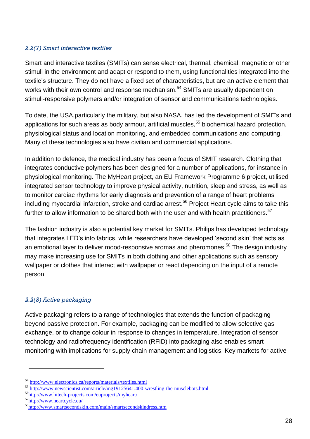#### *2.2(7) Smart interactive textiles*

Smart and interactive textiles (SMITs) can sense electrical, thermal, chemical, magnetic or other stimuli in the environment and adapt or respond to them, using functionalities integrated into the textile's structure. They do not have a fixed set of characteristics, but are an active element that works with their own control and response mechanism.<sup>54</sup> SMITs are usually dependent on stimuli-responsive polymers and/or integration of sensor and communications technologies.

To date, the USA,particularly the military, but also NASA, has led the development of SMITs and applications for such areas as body armour, artificial muscles,<sup>55</sup> biochemical hazard protection, physiological status and location monitoring, and embedded communications and computing. Many of these technologies also have civilian and commercial applications.

In addition to defence, the medical industry has been a focus of SMIT research. Clothing that integrates conductive polymers has been designed for a number of applications, for instance in physiological monitoring. The MyHeart project, an EU Framework Programme 6 project, utilised integrated sensor technology to improve physical activity, nutrition, sleep and stress, as well as to monitor cardiac rhythms for early diagnosis and prevention of a range of heart problems including myocardial infarction, stroke and cardiac arrest.<sup>56</sup> Project Heart cycle aims to take this further to allow information to be shared both with the user and with health practitioners.<sup>57</sup>

The fashion industry is also a potential key market for SMITs. Philips has developed technology that integrates LED's into fabrics, while researchers have developed 'second skin' that acts as an emotional layer to deliver mood-responsive aromas and pheromones.<sup>58</sup> The design industry may make increasing use for SMITs in both clothing and other applications such as sensory wallpaper or clothes that interact with wallpaper or react depending on the input of a remote person.

#### *2.2(8) Active packaging*

Active packaging refers to a range of technologies that extends the function of packaging beyond passive protection. For example, packaging can be modified to allow selective gas exchange, or to change colour in response to changes in temperature. Integration of sensor technology and radiofrequency identification (RFID) into packaging also enables smart monitoring with implications for supply chain management and logistics. Key markets for active

<sup>54</sup> <http://www.electronics.ca/reports/materials/textiles.html>

<sup>55</sup> <http://www.newscientist.com/article/mg19125641.400-wrestling-the-musclebots.html>

<sup>56</sup><http://www.hitech-projects.com/euprojects/myheart/>

<sup>57</sup><http://www.heartcycle.eu/>

<sup>58</sup><http://www.smartsecondskin.com/main/smartsecondskindress.htm>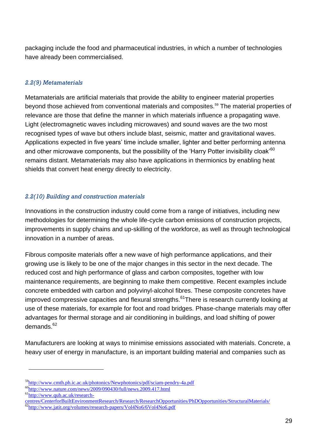packaging include the food and pharmaceutical industries, in which a number of technologies have already been commercialised.

#### *2.2(9) Metamaterials*

Metamaterials are artificial materials that provide the ability to engineer material properties beyond those achieved from conventional materials and composites.<sup>59</sup> The material properties of relevance are those that define the manner in which materials influence a propagating wave. Light (electromagnetic waves including microwaves) and sound waves are the two most recognised types of wave but others include blast, seismic, matter and gravitational waves. Applications expected in five years' time include smaller, lighter and better performing antenna and other microwave components, but the possibility of the 'Harry Potter invisibility cloak<sup>'60</sup> remains distant. Metamaterials may also have applications in thermionics by enabling heat shields that convert heat energy directly to electricity.

#### *2.2(10) Building and construction materials*

Innovations in the construction industry could come from a range of initiatives, including new methodologies for determining the whole life-cycle carbon emissions of construction projects, improvements in supply chains and up-skilling of the workforce, as well as through technological innovation in a number of areas.

Fibrous composite materials offer a new wave of high performance applications, and their growing use is likely to be one of the major changes in this sector in the next decade. The reduced cost and high performance of glass and carbon composites, together with low maintenance requirements, are beginning to make them competitive. Recent examples include concrete embedded with carbon and polyvinyl-alcohol fibres. These composite concretes have improved compressive capacities and flexural strengths.<sup>61</sup>There is research currently looking at use of these materials, for example for foot and road bridges. Phase-change materials may offer advantages for thermal storage and air conditioning in buildings, and load shifting of power demands.<sup>62</sup>

Manufacturers are looking at ways to minimise emissions associated with materials. Concrete, a heavy user of energy in manufacture, is an important building material and companies such as

<sup>59</sup><http://www.cmth.ph.ic.ac.uk/photonics/Newphotonics/pdf/sciam-pendry-4a.pdf>

<sup>60</sup><http://www.nature.com/news/2009/090430/full/news.2009.417.html>

<sup>61</sup>[http://www.qub.ac.uk/research-](http://www.qub.ac.uk/research-centres/CenterforBuiltEnvironmentResearch/Research/ResearchOpportunities/PhDOpportunities/StructuralMaterials/)

[centres/CenterforBuiltEnvironmentResearch/Research/ResearchOpportunities/PhDOpportunities/StructuralMaterials/](http://www.qub.ac.uk/research-centres/CenterforBuiltEnvironmentResearch/Research/ResearchOpportunities/PhDOpportunities/StructuralMaterials/) <sup>62</sup><http://www.jatit.org/volumes/research-papers/Vol4No6/6Vol4No6.pdf>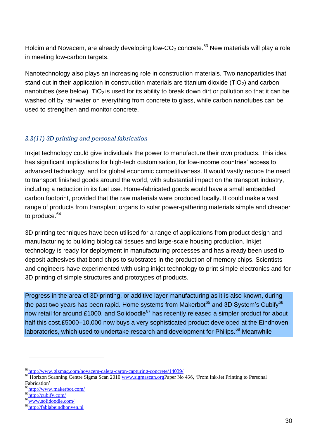Holcim and Novacem, are already developing low- $CO<sub>2</sub>$  concrete.<sup>63</sup> New materials will play a role in meeting low-carbon targets.

Nanotechnology also plays an increasing role in construction materials. Two nanoparticles that stand out in their application in construction materials are titanium dioxide ( $TiO<sub>2</sub>$ ) and carbon nanotubes (see below). TiO<sub>2</sub> is used for its ability to break down dirt or pollution so that it can be washed off by rainwater on everything from concrete to glass, while carbon nanotubes can be used to strengthen and monitor concrete.

#### *2.2(11) 3D printing and personal fabrication*

Inkjet technology could give individuals the power to manufacture their own products. This idea has significant implications for high-tech customisation, for low-income countries' access to advanced technology, and for global economic competitiveness. It would vastly reduce the need to transport finished goods around the world, with substantial impact on the transport industry, including a reduction in its fuel use. Home-fabricated goods would have a small embedded carbon footprint, provided that the raw materials were produced locally. It could make a vast range of products from transplant organs to solar power-gathering materials simple and cheaper to produce.<sup>64</sup>

3D printing techniques have been utilised for a range of applications from product design and manufacturing to building biological tissues and large-scale housing production. Inkjet technology is ready for deployment in manufacturing processes and has already been used to deposit adhesives that bond chips to substrates in the production of memory chips. Scientists and engineers have experimented with using inkjet technology to print simple electronics and for 3D printing of simple structures and prototypes of products.

Progress in the area of 3D printing, or additive layer manufacturing as it is also known, during the past two years has been rapid. Home systems from Makerbot $^{65}$  and 3D System's Cubify $^{66}$ now retail for around £1000, and Solidoodle<sup>67</sup> has recently released a simpler product for about half this cost.£5000–10,000 now buys a very sophisticated product developed at the Eindhoven laboratories, which used to undertake research and development for Philips.<sup>68</sup> Meanwhile

<sup>63</sup><http://www.gizmag.com/novacem-calera-caron-capturing-concrete/14039/>

<sup>&</sup>lt;sup>64</sup> Horizon Scanning Centre Sigma Scan 2010 [www.sigmascan.orgP](http://www.sigmascan.org/)aper No 436, 'From Ink-Jet Printing to Personal Fabrication'

<sup>65</sup><http://www.makerbot.com/>

<sup>66</sup><http://cubify.com/>

<sup>67</sup>[www.solidoodle.com/](http://www.solidoodle.com/)

<sup>68</sup>[http://fablabeindhonven.nl](http://fablabeindhonven.nl/)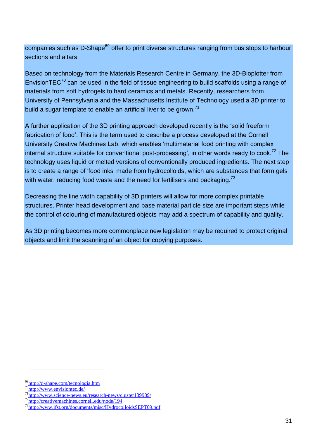companies such as D-Shape<sup>69</sup> offer to print diverse structures ranging from bus stops to harbour sections and altars.

Based on technology from the Materials Research Centre in Germany, the 3D-Bioplotter from EnvisionTEC<sup>70</sup> can be used in the field of tissue engineering to build scaffolds using a range of materials from soft hydrogels to hard ceramics and metals. Recently, researchers from University of Pennsylvania and the Massachusetts Institute of Technology used a 3D printer to build a sugar template to enable an artificial liver to be grown.<sup>71</sup>

A further application of the 3D printing approach developed recently is the 'solid freeform fabrication of food'. This is the term used to describe a process developed at the Cornell University Creative Machines Lab, which enables 'multimaterial food printing with complex internal structure suitable for conventional post-processing', in other words ready to cook.<sup>72</sup> The technology uses liquid or melted versions of conventionally produced ingredients. The next step is to create a range of 'food inks' made from hydrocolloids, which are substances that form gels with water, reducing food waste and the need for fertilisers and packaging.<sup>73</sup>

Decreasing the line width capability of 3D printers will allow for more complex printable structures. Printer head development and base material particle size are important steps while the control of colouring of manufactured objects may add a spectrum of capability and quality.

As 3D printing becomes more commonplace new legislation may be required to protect original objects and limit the scanning of an object for copying purposes.

<sup>69</sup><http://d-shape.com/tecnologia.htm>

<sup>70</sup><http://www.envisiontec.de/>

<sup>71&</sup>lt;sup><http://www.science-news.eu/research-news/cluster139989/></sup>

<sup>72</sup><http://creativemachines.cornell.edu/node/194>

<sup>73</sup><http://www.ifst.org/documents/misc/HydrocolloidsSEPT09.pdf>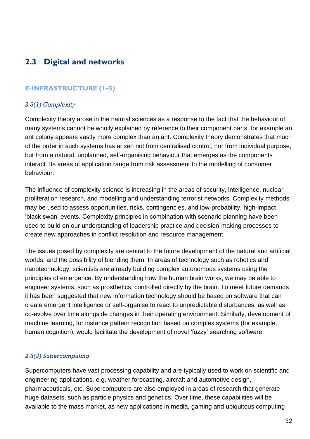# <span id="page-31-0"></span>**2.3 Digital and networks**

#### **E-INFRASTRUCTURE (1–5)**

#### *2.3(1) Complexity*

Complexity theory arose in the natural sciences as a response to the fact that the behaviour of many systems cannot be wholly explained by reference to their component parts, for example an ant colony appears vastly more complex than an ant. Complexity theory demonstrates that much of the order in such systems has arisen not from centralised control, nor from individual purpose, but from a natural, unplanned, self-organising behaviour that emerges as the components interact. Its areas of application range from risk assessment to the modelling of consumer behaviour.

The influence of complexity science is increasing in the areas of security, intelligence, nuclear proliferation research, and modelling and understanding terrorist networks. Complexity methods may be used to assess opportunities, risks, contingencies, and low-probability, high-impact 'black swan' events. Complexity principles in combination with scenario planning have been used to build on our understanding of leadership practice and decision-making processes to create new approaches in conflict resolution and resource management.

The issues posed by complexity are central to the future development of the natural and artificial worlds, and the possibility of blending them. In areas of technology such as robotics and nanotechnology, scientists are already building complex autonomous systems using the principles of emergence. By understanding how the human brain works, we may be able to engineer systems, such as prosthetics, controlled directly by the brain. To meet future demands it has been suggested that new information technology should be based on software that can create emergent intelligence or self-organise to react to unpredictable disturbances, as well as co-evolve over time alongside changes in their operating environment. Similarly, development of machine learning, for instance pattern recognition based on complex systems (for example, human cognition), would facilitate the development of novel 'fuzzy' searching software.

#### *2.3(2) Supercomputing*

Supercomputers have vast processing capability and are typically used to work on scientific and engineering applications, e.g. weather forecasting, aircraft and automotive design, pharmaceuticals, etc. Supercomputers are also employed in areas of research that generate huge datasets, such as particle physics and genetics. Over time, these capabilities will be available to the mass market, as new applications in media, gaming and ubiquitous computing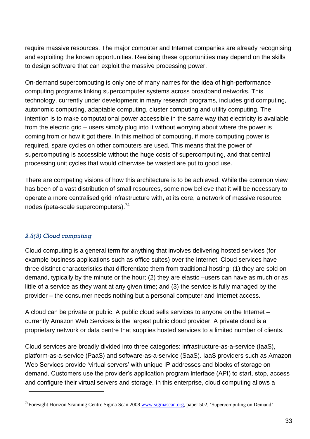require massive resources. The major computer and Internet companies are already recognising and exploiting the known opportunities. Realising these opportunities may depend on the skills to design software that can exploit the massive processing power.

On-demand supercomputing is only one of many names for the idea of high-performance computing programs linking supercomputer systems across broadband networks. This technology, currently under development in many research programs, includes grid computing, autonomic computing, adaptable computing, cluster computing and utility computing. The intention is to make computational power accessible in the same way that electricity is available from the electric grid – users simply plug into it without worrying about where the power is coming from or how it got there. In this method of computing, if more computing power is required, spare cycles on other computers are used. This means that the power of supercomputing is accessible without the huge costs of supercomputing, and that central processing unit cycles that would otherwise be wasted are put to good use.

There are competing visions of how this architecture is to be achieved. While the common view has been of a vast distribution of small resources, some now believe that it will be necessary to operate a more centralised grid infrastructure with, at its core, a network of massive resource nodes (peta-scale supercomputers).<sup>74</sup>

#### *2.3(3) Cloud computing*

l

Cloud computing is a general term for anything that involves delivering hosted services (for example business applications such as office suites) over the Internet. Cloud services have three distinct characteristics that differentiate them from traditional hosting: (1) they are sold on demand, typically by the minute or the hour; (2) they are elastic –users can have as much or as little of a service as they want at any given time; and (3) the service is fully managed by the provider – the consumer needs nothing but a personal computer and Internet access.

A cloud can be private or public. A public cloud sells services to anyone on the Internet – currently Amazon Web Services is the largest public cloud provider. A private cloud is a proprietary network or data centre that supplies hosted services to a limited number of clients.

Cloud services are broadly divided into three categories: infrastructure-as-a-service (IaaS), platform-as-a-service (PaaS) and software-as-a-service (SaaS). IaaS providers such as Amazon Web Services provide 'virtual servers' with unique IP addresses and blocks of storage on demand. Customers use the provider's application program interface (API) to start, stop, access and configure their virtual servers and storage. In this enterprise, cloud computing allows a

<sup>&</sup>lt;sup>74</sup>Foresight Horizon Scanning Centre Sigma Scan 200[8 www.sigmascan.org,](http://www.sigmascan.org/) paper 502, 'Supercomputing on Demand'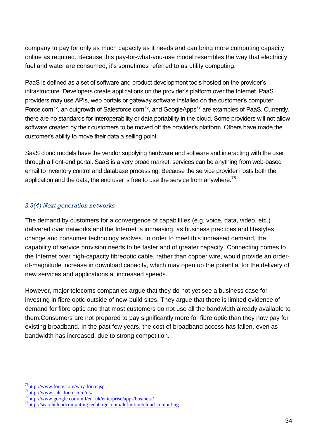company to pay for only as much capacity as it needs and can bring more computing capacity online as required. Because this pay-for-what-you-use model resembles the way that electricity, fuel and water are consumed, it's sometimes referred to as utility computing.

PaaS is defined as a set of software and product development tools hosted on the provider's infrastructure. Developers create applications on the provider's platform over the Internet. PaaS providers may use APIs, web portals or gateway software installed on the customer's computer. Force.com<sup>75</sup>, an outgrowth of Salesforce.com<sup>76</sup>, and GoogleApps<sup>77</sup> are examples of PaaS. Currently, there are no standards for interoperability or data portability in the cloud. Some providers will not allow software created by their customers to be moved off the provider's platform. Others have made the customer's ability to move their data a selling point.

SaaS cloud models have the vendor supplying hardware and software and interacting with the user through a front-end portal. SaaS is a very broad market; services can be anything from web-based email to inventory control and database processing. Because the service provider hosts both the application and the data, the end user is free to use the service from anywhere.<sup>78</sup>

#### *2.3(4) Next generation networks*

The demand by customers for a convergence of capabilities (e.g. voice, data, video, etc.) delivered over networks and the Internet is increasing, as business practices and lifestyles change and consumer technology evolves. In order to meet this increased demand, the capability of service provision needs to be faster and of greater capacity. Connecting homes to the Internet over high-capacity fibreoptic cable, rather than copper wire, would provide an orderof-magnitude increase in download capacity, which may open up the potential for the delivery of new services and applications at increased speeds.

However, major telecoms companies argue that they do not yet see a business case for investing in fibre optic outside of new-build sites. They argue that there is limited evidence of demand for fibre optic and that most customers do not use all the bandwidth already available to them.Consumers are not prepared to pay significantly more for fibre optic than they now pay for existing broadband. In the past few years, the cost of broadband access has fallen, even as bandwidth has increased, due to strong competition.

<sup>75</sup><http://www.force.com/why-force.jsp>

<sup>76</sup><http://www.salesforce.com/uk/>

<sup>77</sup>[http://www.google.com/intl/en\\_uk/enterprise/apps/business/](http://www.google.com/intl/en_uk/enterprise/apps/business/)

<sup>78</sup><http://searchcloudcomputing.techtarget.com/definition/cloud-computing>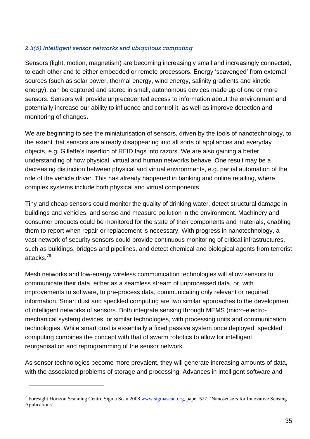#### *2.3(5) Intelligent sensor networks and ubiquitous computing*

Sensors (light, motion, magnetism) are becoming increasingly small and increasingly connected, to each other and to either embedded or remote processors. Energy 'scavenged' from external sources (such as solar power, thermal energy, wind energy, salinity gradients and kinetic energy), can be captured and stored in small, autonomous devices made up of one or more sensors. Sensors will provide unprecedented access to information about the environment and potentially increase our ability to influence and control it, as well as improve detection and monitoring of changes.

We are beginning to see the miniaturisation of sensors, driven by the tools of nanotechnology, to the extent that sensors are already disappearing into all sorts of appliances and everyday objects, e.g. Gillette's insertion of RFID tags into razors. We are also gaining a better understanding of how physical, virtual and human networks behave. One result may be a decreasing distinction between physical and virtual environments, e.g. partial automation of the role of the vehicle driver. This has already happened in banking and online retailing, where complex systems include both physical and virtual components.

Tiny and cheap sensors could monitor the quality of drinking water, detect structural damage in buildings and vehicles, and sense and measure pollution in the environment. Machinery and consumer products could be monitored for the state of their components and materials, enabling them to report when repair or replacement is necessary. With progress in nanotechnology, a vast network of security sensors could provide continuous monitoring of critical infrastructures, such as buildings, bridges and pipelines, and detect chemical and biological agents from terrorist attacks.<sup>79</sup>

Mesh networks and low-energy wireless communication technologies will allow sensors to communicate their data, either as a seamless stream of unprocessed data, or, with improvements to software, to pre-process data, communicating only relevant or required information. Smart dust and speckled computing are two similar approaches to the development of intelligent networks of sensors. Both integrate sensing through MEMS (micro-electromechanical system) devices, or similar technologies, with processing units and communication technologies. While smart dust is essentially a fixed passive system once deployed, speckled computing combines the concept with that of swarm robotics to allow for intelligent reorganisation and reprogramming of the sensor network.

As sensor technologies become more prevalent, they will generate increasing amounts of data, with the associated problems of storage and processing. Advances in intelligent software and

<sup>&</sup>lt;sup>79</sup>Foresight Horizon Scanning Centre Sigma Scan 200[8 www.sigmascan.org,](http://www.sigmascan.org/) paper 527, 'Nanosensors for Innovative Sensing Applications'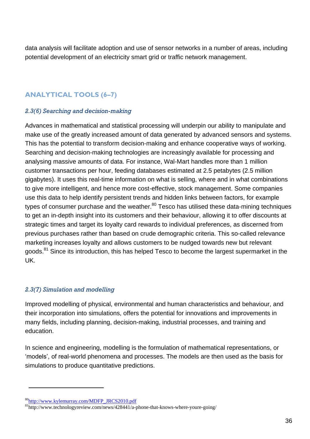data analysis will facilitate adoption and use of sensor networks in a number of areas, including potential development of an electricity smart grid or traffic network management.

### **ANALYTICAL TOOLS (6–7)**

#### *2.3(6) Searching and decision-making*

Advances in mathematical and statistical processing will underpin our ability to manipulate and make use of the greatly increased amount of data generated by advanced sensors and systems. This has the potential to transform decision-making and enhance cooperative ways of working. Searching and decision-making technologies are increasingly available for processing and analysing massive amounts of data. For instance, Wal-Mart handles more than 1 million customer transactions per hour, feeding databases estimated at 2.5 petabytes (2.5 million gigabytes). It uses this real-time information on what is selling, where and in what combinations to give more intelligent, and hence more cost-effective, stock management. Some companies use this data to help identify persistent trends and hidden links between factors, for example types of consumer purchase and the weather. $80$  Tesco has utilised these data-mining techniques to get an in-depth insight into its customers and their behaviour, allowing it to offer discounts at strategic times and target its loyalty card rewards to individual preferences, as discerned from previous purchases rather than based on crude demographic criteria. This so-called relevance marketing increases loyalty and allows customers to be nudged towards new but relevant goods.<sup>81</sup> Since its introduction, this has helped Tesco to become the largest supermarket in the UK.

#### *2.3(7) Simulation and modelling*

Improved modelling of physical, environmental and human characteristics and behaviour, and their incorporation into simulations, offers the potential for innovations and improvements in many fields, including planning, decision-making, industrial processes, and training and education.

In science and engineering, modelling is the formulation of mathematical representations, or 'models', of real-world phenomena and processes. The models are then used as the basis for simulations to produce quantitative predictions.

<sup>80</sup>[http://www.kylemurray.com/MDFP\\_JRCS2010.pdf](http://www.kylemurray.com/MDFP_JRCS2010.pdf)

<sup>81</sup>http://www.technologyreview.com/news/428441/a-phone-that-knows-where-youre-going/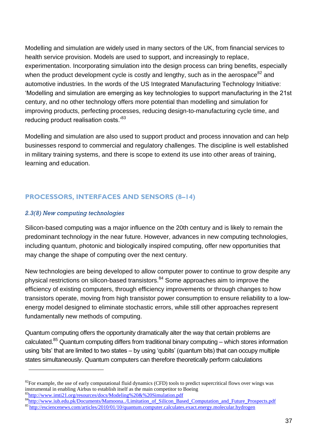Modelling and simulation are widely used in many sectors of the UK, from financial services to health service provision. Models are used to support, and increasingly to replace, experimentation. Incorporating simulation into the design process can bring benefits, especially when the product development cycle is costly and lengthy, such as in the aerospace $82$  and automotive industries. In the words of the US Integrated Manufacturing Technology Initiative: 'Modelling and simulation are emerging as key technologies to support manufacturing in the 21st century, and no other technology offers more potential than modelling and simulation for improving products, perfecting processes, reducing design-to-manufacturing cycle time, and reducing product realisation costs.<sup>83</sup>

Modelling and simulation are also used to support product and process innovation and can help businesses respond to commercial and regulatory challenges. The discipline is well established in military training systems, and there is scope to extend its use into other areas of training, learning and education.

### **PROCESSORS, INTERFACES AND SENSORS (8–14)**

#### *2.3(8) New computing technologies*

l

Silicon-based computing was a major influence on the 20th century and is likely to remain the predominant technology in the near future. However, advances in new computing technologies, including quantum, photonic and biologically inspired computing, offer new opportunities that may change the shape of computing over the next century.

New technologies are being developed to allow computer power to continue to grow despite any physical restrictions on silicon-based transistors.<sup>84</sup> Some approaches aim to improve the efficiency of existing computers, through efficiency improvements or through changes to how transistors operate, moving from high transistor power consumption to ensure reliability to a lowenergy model designed to eliminate stochastic errors, while still other approaches represent fundamentally new methods of computing.

Quantum computing offers the opportunity dramatically alter the way that certain problems are calculated.<sup>85</sup> Quantum computing differs from traditional binary computing – which stores information using 'bits' that are limited to two states – by using 'qubits' (quantum bits) that can occupy multiple states simultaneously. Quantum computers can therefore theoretically perform calculations

 ${}^{82}$ For example, the use of early computational fluid dynamics (CFD) tools to predict supercritical flows over wings was instrumental in enabling Airbus to establish itself as the main competitor to Boeing

<sup>83</sup><http://www.imti21.org/resources/docs/Modeling%20&%20Simulation.pdf>

<sup>&</sup>lt;sup>84</sup>[http://www.iub.edu.pk/Documents/Mamoona../Limitation\\_of\\_Silicon\\_Based\\_Computation\\_and\\_Future\\_Prospects.pdf](http://www.iub.edu.pk/Documents/Mamoona../Limitation_of_Silicon_Based_Computation_and_Future_Prospects.pdf)

<sup>85</sup> <http://esciencenews.com/articles/2010/01/10/quantum.computer.calculates.exact.energy.molecular.hydrogen>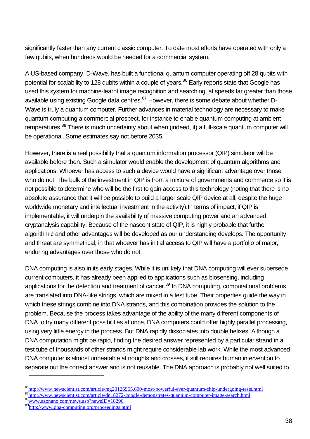significantly faster than any current classic computer. To date most efforts have operated with only a few qubits, when hundreds would be needed for a commercial system.

A US-based company, D-Wave, has built a functional quantum computer operating off 28 qubits with potential for scalability to 128 qubits within a couple of years.<sup>86</sup> Early reports state that Google has used this system for machine-learnt image recognition and searching, at speeds far greater than those available using existing Google data centres. $87$  However, there is some debate about whether D-Wave is truly a quantum computer. Further advances in material technology are necessary to make quantum computing a commercial prospect, for instance to enable quantum computing at ambient temperatures.<sup>88</sup> There is much uncertainty about when (indeed, if) a full-scale quantum computer will be operational. Some estimates say not before 2035.

However, there is a real possibility that a quantum information processor (QIP) simulator will be available before then. Such a simulator would enable the development of quantum algorithms and applications. Whoever has access to such a device would have a significant advantage over those who do not. The bulk of the investment in QIP is from a mixture of governments and commerce so it is not possible to determine who will be the first to gain access to this technology (noting that there is no absolute assurance that it will be possible to build a larger scale QIP device at all, despite the huge worldwide monetary and intellectual investment in the activity).In terms of impact, if QIP is implementable, it will underpin the availability of massive computing power and an advanced cryptanalysis capability. Because of the nascent state of QIP, it is highly probable that further algorithmic and other advantages will be developed as our understanding develops. The opportunity and threat are symmetrical, in that whoever has initial access to QIP will have a portfolio of major, enduring advantages over those who do not.

DNA computing is also in its early stages. While it is unlikely that DNA computing will ever supersede current computers, it has already been applied to applications such as biosensing, including applications for the detection and treatment of cancer.<sup>89</sup> In DNA computing, computational problems are translated into DNA-like strings, which are mixed in a test tube. Their properties guide the way in which these strings combine into DNA strands, and this combination provides the solution to the problem. Because the process takes advantage of the ability of the many different components of DNA to try many different possibilities at once, DNA computers could offer highly parallel processing, using very little energy in the process. But DNA rapidly dissociates into double helixes. Although a DNA computation might be rapid, finding the desired answer represented by a particular strand in a test tube of thousands of other strands might require considerable lab work. While the most advanced DNA computer is almost unbeatable at noughts and crosses, it still requires human intervention to separate out the correct answer and is not reusable. The DNA approach is probably not well suited to

<sup>88</sup>[www.azonano.com/news.asp?newsID=18296](http://www.azonano.com/news.asp?newsID=18296)

<sup>86</sup><http://www.newscientist.com/article/mg20126965.600-most-powerful-ever-quantum-chip-undergoing-tests.html>

<sup>87</sup><http://www.newscientist.com/article/dn18272-google-demonstrates-quantum-computer-image-search.html>

<sup>89</sup><http://www.dna-computing.org/proceedings.html>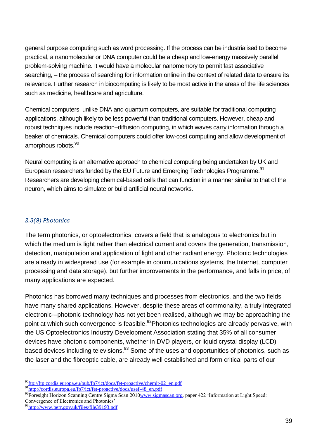general purpose computing such as word processing. If the process can be industrialised to become practical, a nanomolecular or DNA computer could be a cheap and low-energy massively parallel problem-solving machine. It would have a molecular nanomemory to permit fast associative searching, – the process of searching for information online in the context of related data to ensure its relevance. Further research in biocomputing is likely to be most active in the areas of the life sciences such as medicine, healthcare and agriculture.

Chemical computers, unlike DNA and quantum computers, are suitable for traditional computing applications, although likely to be less powerful than traditional computers. However, cheap and robust techniques include reaction–diffusion computing, in which waves carry information through a beaker of chemicals. Chemical computers could offer low-cost computing and allow development of amorphous robots.<sup>90</sup>

Neural computing is an alternative approach to chemical computing being undertaken by UK and European researchers funded by the EU Future and Emerging Technologies Programme.<sup>91</sup> Researchers are developing chemical-based cells that can function in a manner similar to that of the neuron, which aims to simulate or build artificial neural networks.

#### *2.3(9) Photonics*

l

The term photonics, or optoelectronics, covers a field that is analogous to electronics but in which the medium is light rather than electrical current and covers the generation, transmission, detection, manipulation and application of light and other radiant energy. Photonic technologies are already in widespread use (for example in communications systems, the Internet, computer processing and data storage), but further improvements in the performance, and falls in price, of many applications are expected.

Photonics has borrowed many techniques and processes from electronics, and the two fields have many shared applications. However, despite these areas of commonality, a truly integrated electronic-–photonic technology has not yet been realised, although we may be approaching the point at which such convergence is feasible.<sup>92</sup>Photonics technologies are already pervasive, with the US Optoelectronics Industry Development Association stating that 35% of all consumer devices have photonic components, whether in DVD players, or liquid crystal display (LCD) based devices including televisions.<sup>93</sup> Some of the uses and opportunities of photonics, such as the laser and the fibreoptic cable, are already well established and form critical parts of our

<sup>92</sup>Foresight Horizon Scanning Centre Sigma Scan 201[0www.sigmascan.org,](http://www.sigmascan.org/) paper 422 'Information at Light Speed: Convergence of Electronics and Photonics'

<sup>90</sup>[ftp://ftp.cordis.europa.eu/pub/fp7/ict/docs/fet-proactive/chemit-02\\_en.pdf](ftp://ftp.cordis.europa.eu/pub/fp7/ict/docs/fet-proactive/chemit-02_en.pdf)

 $91$ <sub>[http://cordis.europa.eu/fp7/ict/fet-proactive/docs/usef-48\\_en.pdf](http://cordis.europa.eu/fp7/ict/fet-proactive/docs/usef-48_en.pdf)</sub>

 $^{3}$ <http://www.berr.gov.uk/files/file39193.pdf>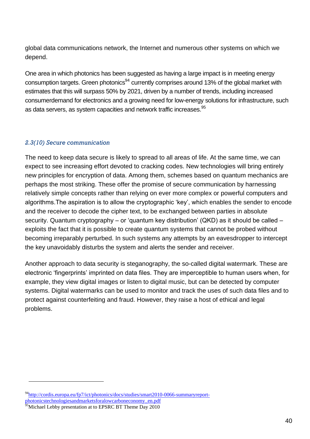global data communications network, the Internet and numerous other systems on which we depend.

One area in which photonics has been suggested as having a large impact is in meeting energy consumption targets. Green photonics<sup>94</sup> currently comprises around 13% of the global market with estimates that this will surpass 50% by 2021, driven by a number of trends, including increased consumerdemand for electronics and a growing need for low-energy solutions for infrastructure, such as data servers, as system capacities and network traffic increases.<sup>95</sup>

#### *2.3(10) Secure communication*

The need to keep data secure is likely to spread to all areas of life. At the same time, we can expect to see increasing effort devoted to cracking codes. New technologies will bring entirely new principles for encryption of data. Among them, schemes based on quantum mechanics are perhaps the most striking. These offer the promise of secure communication by harnessing relatively simple concepts rather than relying on ever more complex or powerful computers and algorithms.The aspiration is to allow the cryptographic 'key', which enables the sender to encode and the receiver to decode the cipher text, to be exchanged between parties in absolute security. Quantum cryptography – or 'quantum key distribution' (QKD) as it should be called – exploits the fact that it is possible to create quantum systems that cannot be probed without becoming irreparably perturbed. In such systems any attempts by an eavesdropper to intercept the key unavoidably disturbs the system and alerts the sender and receiver.

Another approach to data security is steganography, the so-called digital watermark. These are electronic 'fingerprints' imprinted on data files. They are imperceptible to human users when, for example, they view digital images or listen to digital music, but can be detected by computer systems. Digital watermarks can be used to monitor and track the uses of such data files and to protect against counterfeiting and fraud. However, they raise a host of ethical and legal problems.

<sup>94</sup>[http://cordis.europa.eu/fp7/ict/photonics/docs/studies/smart2010-0066-summaryreport](http://cordis.europa.eu/fp7/ict/photonics/docs/studies/smart2010-0066-summaryreport-photonicstechnologiesandmarketsforalowcarboneconomy_en.pdf)[photonicstechnologiesandmarketsforalowcarboneconomy\\_en.pdf](http://cordis.europa.eu/fp7/ict/photonics/docs/studies/smart2010-0066-summaryreport-photonicstechnologiesandmarketsforalowcarboneconomy_en.pdf)

<sup>&</sup>lt;sup>95</sup>Michael Lebby presentation at to EPSRC BT Theme Day 2010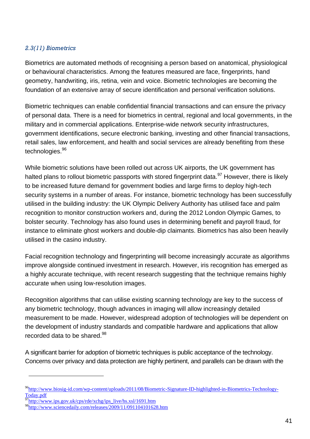#### *2.3(11) Biometrics*

Biometrics are automated methods of recognising a person based on anatomical, physiological or behavioural characteristics. Among the features measured are face, fingerprints, hand geometry, handwriting, iris, retina, vein and voice. Biometric technologies are becoming the foundation of an extensive array of secure identification and personal verification solutions.

Biometric techniques can enable confidential financial transactions and can ensure the privacy of personal data. There is a need for biometrics in central, regional and local governments, in the military and in commercial applications. Enterprise-wide network security infrastructures, government identifications, secure electronic banking, investing and other financial transactions, retail sales, law enforcement, and health and social services are already benefiting from these technologies.<sup>96</sup>

While biometric solutions have been rolled out across UK airports, the UK government has halted plans to rollout biometric passports with stored fingerprint data.<sup>97</sup> However, there is likely to be increased future demand for government bodies and large firms to deploy high-tech security systems in a number of areas. For instance, biometric technology has been successfully utilised in the building industry: the UK Olympic Delivery Authority has utilised face and palm recognition to monitor construction workers and, during the 2012 London Olympic Games, to bolster security. Technology has also found uses in determining benefit and payroll fraud, for instance to eliminate ghost workers and double-dip claimants. Biometrics has also been heavily utilised in the casino industry.

Facial recognition technology and fingerprinting will become increasingly accurate as algorithms improve alongside continued investment in research. However, iris recognition has emerged as a highly accurate technique, with recent research suggesting that the technique remains highly accurate when using low-resolution images.

Recognition algorithms that can utilise existing scanning technology are key to the success of any biometric technology, though advances in imaging will allow increasingly detailed measurement to be made. However, widespread adoption of technologies will be dependent on the development of industry standards and compatible hardware and applications that allow recorded data to be shared.<sup>98</sup>

A significant barrier for adoption of biometric techniques is public acceptance of the technology. Concerns over privacy and data protection are highly pertinent, and parallels can be drawn with the

<sup>96</sup>[http://www.biosig-id.com/wp-content/uploads/2011/08/Biometric-Signature-ID-highlighted-in-Biometrics-Technology-](http://www.biosig-id.com/wp-content/uploads/2011/08/Biometric-Signature-ID-highlighted-in-Biometrics-Technology-Today.pdf)[Today.pdf](http://www.biosig-id.com/wp-content/uploads/2011/08/Biometric-Signature-ID-highlighted-in-Biometrics-Technology-Today.pdf)

<sup>97</sup>[http://www.ips.gov.uk/cps/rde/xchg/ips\\_live/hs.xsl/1691.htm](http://www.ips.gov.uk/cps/rde/xchg/ips_live/hs.xsl/1691.htm)

<sup>98</sup><http://www.sciencedaily.com/releases/2009/11/091104101628.htm>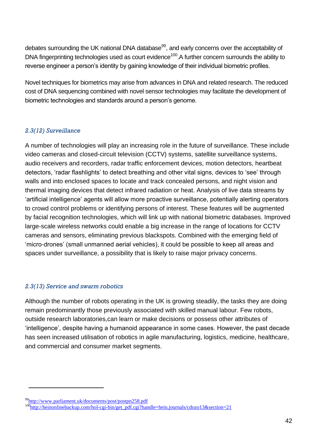debates surrounding the UK national DNA database<sup>99</sup>, and early concerns over the acceptability of DNA fingerprinting technologies used as court evidence<sup>100</sup>. A further concern surrounds the ability to reverse engineer a person's identity by gaining knowledge of their individual biometric profiles.

Novel techniques for biometrics may arise from advances in DNA and related research. The reduced cost of DNA sequencing combined with novel sensor technologies may facilitate the development of biometric technologies and standards around a person's genome.

#### *2.3(12) Surveillance*

A number of technologies will play an increasing role in the future of surveillance. These include video cameras and closed-circuit television (CCTV) systems, satellite surveillance systems, audio receivers and recorders, radar traffic enforcement devices, motion detectors, heartbeat detectors, 'radar flashlights' to detect breathing and other vital signs, devices to 'see' through walls and into enclosed spaces to locate and track concealed persons, and night vision and thermal imaging devices that detect infrared radiation or heat. Analysis of live data streams by 'artificial intelligence' agents will allow more proactive surveillance, potentially alerting operators to crowd control problems or identifying persons of interest. These features will be augmented by facial recognition technologies, which will link up with national biometric databases. Improved large-scale wireless networks could enable a big increase in the range of locations for CCTV cameras and sensors, eliminating previous blackspots. Combined with the emerging field of 'micro-drones' (small unmanned aerial vehicles), it could be possible to keep all areas and spaces under surveillance, a possibility that is likely to raise major privacy concerns.

#### *2.3(13) Service and swarm robotics*

l

Although the number of robots operating in the UK is growing steadily, the tasks they are doing remain predominantly those previously associated with skilled manual labour. Few robots, outside research laboratories,can learn or make decisions or possess other attributes of 'intelligence', despite having a humanoid appearance in some cases. However, the past decade has seen increased utilisation of robotics in agile manufacturing, logistics, medicine, healthcare, and commercial and consumer market segments.

<sup>99</sup><http://www.parliament.uk/documents/post/postpn258.pdf>

 $100$ <sub>[http://heinonlinebackup.com/hol-cgi-bin/get\\_pdf.cgi?handle=hein.journals/cdozo13&section=21](http://heinonlinebackup.com/hol-cgi-bin/get_pdf.cgi?handle=hein.journals/cdozo13§ion=21)</sub>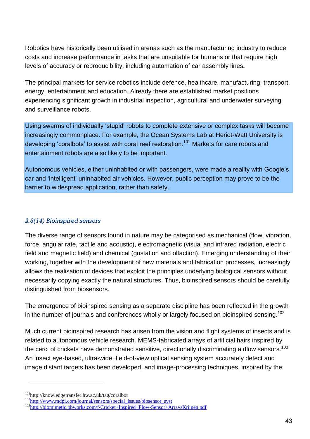Robotics have historically been utilised in arenas such as the manufacturing industry to reduce costs and increase performance in tasks that are unsuitable for humans or that require high levels of accuracy or reproducibility, including automation of car assembly lines**.**

The principal markets for service robotics include defence, healthcare, manufacturing, transport, energy, entertainment and education. Already there are established market positions experiencing significant growth in industrial inspection, agricultural and underwater surveying and surveillance robots.

Using swarms of individually 'stupid' robots to complete extensive or complex tasks will become increasingly commonplace. For example, the Ocean Systems Lab at Heriot-Watt University is developing 'coralbots' to assist with coral reef restoration.<sup>101</sup> Markets for care robots and entertainment robots are also likely to be important.

Autonomous vehicles, either uninhabited or with passengers, were made a reality with Google's car and 'intelligent' uninhabited air vehicles. However, public perception may prove to be the barrier to widespread application, rather than safety.

#### *2.3(14) Bioinspired sensors*

The diverse range of sensors found in nature may be categorised as mechanical (flow, vibration, force, angular rate, tactile and acoustic), electromagnetic (visual and infrared radiation, electric field and magnetic field) and chemical (gustation and olfaction). Emerging understanding of their working, together with the development of new materials and fabrication processes, increasingly allows the realisation of devices that exploit the principles underlying biological sensors without necessarily copying exactly the natural structures. Thus, bioinspired sensors should be carefully distinguished from biosensors.

The emergence of bioinspired sensing as a separate discipline has been reflected in the growth in the number of journals and conferences wholly or largely focused on bioinspired sensing.<sup>102</sup>

Much current bioinspired research has arisen from the vision and flight systems of insects and is related to autonomous vehicle research. MEMS-fabricated arrays of artificial hairs inspired by the cerci of crickets have demonstrated sensitive, directionally discriminating airflow sensors.<sup>103</sup> An insect eye-based, ultra-wide, field-of-view optical sensing system accurately detect and image distant targets has been developed, and image-processing techniques, inspired by the

<sup>101</sup>http://knowledgetransfer.hw.ac.uk/tag/coralbot

<sup>&</sup>lt;sup>102</sup>[http://www.mdpi.com/journal/sensors/special\\_issues/biosensor\\_syst](http://www.mdpi.com/journal/sensors/special_issues/biosensor_syst)

<sup>103</sup><http://biomimetic.pbworks.com/f/Cricket+Inspired+Flow-Sensor+ArraysKrijnen.pdf>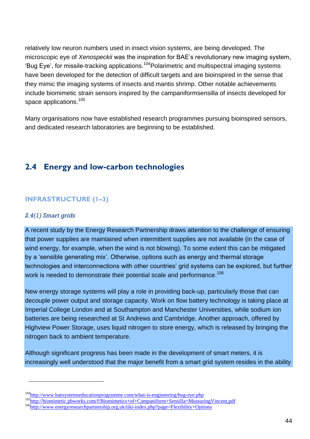relatively low neuron numbers used in insect vision systems, are being developed. The microscopic eye of *Xenospeckii* was the inspiration for BAE's revolutionary new imaging system, 'Bug Eye', for missile-tracking applications.<sup>104</sup>Polarimetric and multispectral imaging systems have been developed for the detection of difficult targets and are bioinspired in the sense that they mimic the imaging systems of insects and mantis shrimp. Other notable achievements include biomimetic strain sensors inspired by the campaniformsensilla of insects developed for space applications.<sup>105</sup>

Many organisations now have established research programmes pursuing bioinspired sensors, and dedicated research laboratories are beginning to be established.

## <span id="page-43-0"></span>**2.4 Energy and low-carbon technologies**

#### **INFRASTRUCTURE (1–3)**

#### *2.4(1) Smart grids*

l

A recent study by the Energy Research Partnership draws attention to the challenge of ensuring that power supplies are maintained when intermittent supplies are not available (in the case of wind energy, for example, when the wind is not blowing). To some extent this can be mitigated by a 'sensible generating mix'. Otherwise, options such as energy and thermal storage technologies and interconnections with other countries' grid systems can be explored, but further work is needed to demonstrate their potential scale and performance.<sup>106</sup>

New energy storage systems will play a role in providing back-up, particularly those that can decouple power output and storage capacity. Work on flow battery technology is taking place at Imperial College London and at Southampton and Manchester Universities, while sodium ion batteries are being researched at St Andrews and Cambridge. Another approach, offered by Highview Power Storage, uses liquid nitrogen to store energy, which is released by bringing the nitrogen back to ambient temperature.

Although significant progress has been made in the development of smart meters, it is increasingly well understood that the major benefit from a smart grid system resides in the ability

<sup>104</sup><http://www.baesystemseducationprogramme.com/what-is-engineering/bug-eye.php>

<sup>105</sup><http://biomimetic.pbworks.com/f/Biomimetics+of+Campaniform+Sensilla+MeasuringVincent.pdf>

<sup>106</sup><http://www.energyresearchpartnership.org.uk/tiki-index.php?page=Flexibility+Options>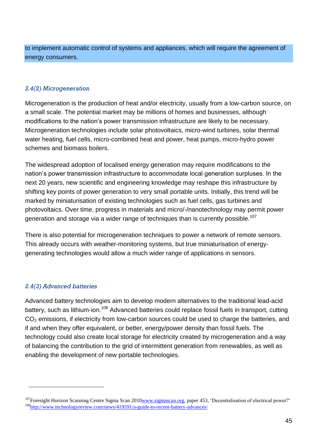to implement automatic control of systems and appliances, which will require the agreement of energy consumers.

#### *2.4(2) Microgeneration*

Microgeneration is the production of heat and/or electricity, usually from a low-carbon source, on a small scale. The potential market may be millions of homes and businesses, although modifications to the nation's power transmission infrastructure are likely to be necessary. Microgeneration technologies include solar photovoltaics, micro-wind turbines, solar thermal water heating, fuel cells, micro-combined heat and power, heat pumps, micro-hydro power schemes and biomass boilers.

The widespread adoption of localised energy generation may require modifications to the nation's power transmission infrastructure to accommodate local generation surpluses. In the next 20 years, new scientific and engineering knowledge may reshape this infrastructure by shifting key points of power generation to very small portable units. Initially, this trend will be marked by miniaturisation of existing technologies such as fuel cells, gas turbines and photovoltaics. Over time, progress in materials and micro/-/nanotechnology may permit power generation and storage via a wider range of techniques than is currently possible.<sup>107</sup>

There is also potential for microgeneration techniques to power a network of remote sensors. This already occurs with weather-monitoring systems, but true miniaturisation of energygenerating technologies would allow a much wider range of applications in sensors.

#### *2.4(3) Advanced batteries*

l

Advanced battery technologies aim to develop modern alternatives to the traditional lead-acid battery, such as lithium-ion.<sup>108</sup> Advanced batteries could replace fossil fuels in transport, cutting CO<sub>2</sub> emissions, if electricity from low-carbon sources could be used to charge the batteries, and if and when they offer equivalent, or better, energy/power density than fossil fuels. The technology could also create local storage for electricity created by microgeneration and a way of balancing the contribution to the grid of intermittent generation from renewables, as well as enabling the development of new portable technologies.

<sup>&</sup>lt;sup>107</sup>Foresight Horizon Scanning Centre Sigma Scan 201[0www.sigmascan.org,](http://www.sigmascan.org/) paper 453, 'Decentralisation of electrical power?' <sup>108</sup><http://www.technologyreview.com/news/419591/a-guide-to-recent-battery-advances/>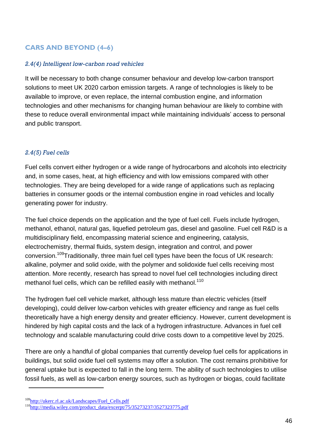### **CARS AND BEYOND (4–6)**

#### *2.4(4) Intelligent low-carbon road vehicles*

It will be necessary to both change consumer behaviour and develop low-carbon transport solutions to meet UK 2020 carbon emission targets. A range of technologies is likely to be available to improve, or even replace, the internal combustion engine, and information technologies and other mechanisms for changing human behaviour are likely to combine with these to reduce overall environmental impact while maintaining individuals' access to personal and public transport.

#### *2.4(5) Fuel cells*

Fuel cells convert either hydrogen or a wide range of hydrocarbons and alcohols into electricity and, in some cases, heat, at high efficiency and with low emissions compared with other technologies. They are being developed for a wide range of applications such as replacing batteries in consumer goods or the internal combustion engine in road vehicles and locally generating power for industry.

The fuel choice depends on the application and the type of fuel cell. Fuels include hydrogen, methanol, ethanol, natural gas, liquefied petroleum gas, diesel and gasoline. Fuel cell R&D is a multidisciplinary field, encompassing material science and engineering, catalysis, electrochemistry, thermal fluids, system design, integration and control, and power conversion.<sup>109</sup>Traditionally, three main fuel cell types have been the focus of UK research: alkaline, polymer and solid oxide, with the polymer and solidoxide fuel cells receiving most attention. More recently, research has spread to novel fuel cell technologies including direct methanol fuel cells, which can be refilled easily with methanol.<sup>110</sup>

The hydrogen fuel cell vehicle market, although less mature than electric vehicles (itself developing), could deliver low-carbon vehicles with greater efficiency and range as fuel cells theoretically have a high energy density and greater efficiency. However, current development is hindered by high capital costs and the lack of a hydrogen infrastructure. Advances in fuel cell technology and scalable manufacturing could drive costs down to a competitive level by 2025.

There are only a handful of global companies that currently develop fuel cells for applications in buildings, but solid oxide fuel cell systems may offer a solution. The cost remains prohibitive for general uptake but is expected to fall in the long term. The ability of such technologies to utilise fossil fuels, as well as low-carbon energy sources, such as hydrogen or biogas, could facilitate

<sup>109</sup>[http://ukerc.rl.ac.uk/Landscapes/Fuel\\_Cells.pdf](http://ukerc.rl.ac.uk/Landscapes/Fuel_Cells.pdf)

<sup>&</sup>lt;sup>110</sup>[http://media.wiley.com/product\\_data/excerpt/75/35273237/3527323775.pdf](http://media.wiley.com/product_data/excerpt/75/35273237/3527323775.pdf)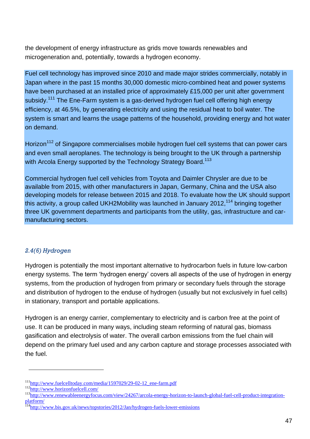the development of energy infrastructure as grids move towards renewables and microgeneration and, potentially, towards a hydrogen economy.

Fuel cell technology has improved since 2010 and made major strides commercially, notably in Japan where in the past 15 months 30,000 domestic micro-combined heat and power systems have been purchased at an installed price of approximately £15,000 per unit after government subsidy.<sup>111</sup> The Ene-Farm system is a gas-derived hydrogen fuel cell offering high energy efficiency, at 46.5%, by generating electricity and using the residual heat to boil water. The system is smart and learns the usage patterns of the household, providing energy and hot water on demand.

Horizon<sup>112</sup> of Singapore commercialises mobile hydrogen fuel cell systems that can power cars and even small aeroplanes. The technology is being brought to the UK through a partnership with Arcola Energy supported by the Technology Strategy Board.<sup>113</sup>

Commercial hydrogen fuel cell vehicles from Toyota and Daimler Chrysler are due to be available from 2015, with other manufacturers in Japan, Germany, China and the USA also developing models for release between 2015 and 2018. To evaluate how the UK should support this activity, a group called UKH2Mobility was launched in January 2012,<sup>114</sup> bringing together three UK government departments and participants from the utility, gas, infrastructure and carmanufacturing sectors.

#### *2.4(6) Hydrogen*

Hydrogen is potentially the most important alternative to hydrocarbon fuels in future low-carbon energy systems. The term 'hydrogen energy' covers all aspects of the use of hydrogen in energy systems, from the production of hydrogen from primary or secondary fuels through the storage and distribution of hydrogen to the enduse of hydrogen (usually but not exclusively in fuel cells) in stationary, transport and portable applications.

Hydrogen is an energy carrier, complementary to electricity and is carbon free at the point of use. It can be produced in many ways, including steam reforming of natural gas, biomass gasification and electrolysis of water. The overall carbon emissions from the fuel chain will depend on the primary fuel used and any carbon capture and storage processes associated with the fuel.

<sup>&</sup>lt;sup>111</sup>[http://www.fuelcelltoday.com/media/1597029/29-02-12\\_ene-farm.pdf](http://www.fuelcelltoday.com/media/1597029/29-02-12_ene-farm.pdf)

<sup>112</sup><http://www.horizonfuelcell.com/>

<sup>&</sup>lt;sup>113</sup>[http://www.renewableenergyfocus.com/view/24267/arcola-energy-horizon-to-launch-global-fuel-cell-product-integration](http://www.renewableenergyfocus.com/view/24267/arcola-energy-horizon-to-launch-global-fuel-cell-product-integration-platform/)[platform/](http://www.renewableenergyfocus.com/view/24267/arcola-energy-horizon-to-launch-global-fuel-cell-product-integration-platform/)

<sup>&</sup>lt;sup>114</sup><http://www.bis.gov.uk/news/topstories/2012/Jan/hydrogen-fuels-lower-emissions>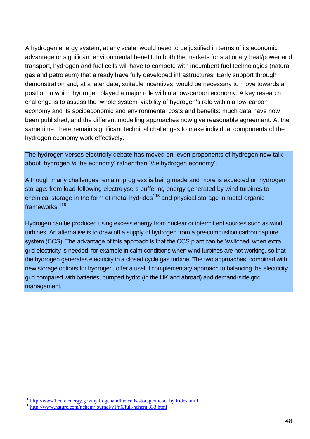A hydrogen energy system, at any scale, would need to be justified in terms of its economic advantage or significant environmental benefit. In both the markets for stationary heat/power and transport, hydrogen and fuel cells will have to compete with incumbent fuel technologies (natural gas and petroleum) that already have fully developed infrastructures. Early support through demonstration and, at a later date, suitable incentives, would be necessary to move towards a position in which hydrogen played a major role within a low-carbon economy. A key research challenge is to assess the 'whole system' viability of hydrogen's role within a low-carbon economy and its socioeconomic and environmental costs and benefits: much data have now been published, and the different modelling approaches now give reasonable agreement. At the same time, there remain significant technical challenges to make individual components of the hydrogen economy work effectively.

The hydrogen verses electricity debate has moved on: even proponents of hydrogen now talk about 'hydrogen *in* the economy' rather than '*the* hydrogen economy'.

Although many challenges remain, progress is being made and more is expected on hydrogen storage: from load-following electrolysers buffering energy generated by wind turbines to chemical storage in the form of metal hydrides<sup>115</sup> and physical storage in metal organic frameworks.<sup>116</sup>

Hydrogen can be produced using excess energy from nuclear or intermittent sources such as wind turbines. An alternative is to draw off a supply of hydrogen from a pre-combustion carbon capture system (CCS). The advantage of this approach is that the CCS plant can be 'switched' when extra grid electricity is needed, for example in calm conditions when wind turbines are not working, so that the hydrogen generates electricity in a closed cycle gas turbine. The two approaches, combined with new storage options for hydrogen, offer a useful complementary approach to balancing the electricity grid compared with batteries, pumped hydro (in the UK and abroad) and demand-side grid management.

<sup>115</sup>[http://www1.eere.energy.gov/hydrogenandfuelcells/storage/metal\\_hydrides.html](http://www1.eere.energy.gov/hydrogenandfuelcells/storage/metal_hydrides.html)

<sup>116</sup><http://www.nature.com/nchem/journal/v1/n6/full/nchem.333.html>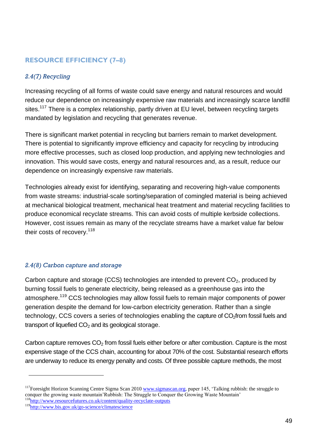### **RESOURCE EFFICIENCY (7–8)**

#### *2.4(7) Recycling*

Increasing recycling of all forms of waste could save energy and natural resources and would reduce our dependence on increasingly expensive raw materials and increasingly scarce landfill sites.<sup>117</sup> There is a complex relationship, partly driven at EU level, between recycling targets mandated by legislation and recycling that generates revenue.

There is significant market potential in recycling but barriers remain to market development. There is potential to significantly improve efficiency and capacity for recycling by introducing more effective processes, such as closed loop production, and applying new technologies and innovation. This would save costs, energy and natural resources and, as a result, reduce our dependence on increasingly expensive raw materials.

Technologies already exist for identifying, separating and recovering high-value components from waste streams: industrial-scale sorting/separation of comingled material is being achieved at mechanical biological treatment, mechanical heat treatment and material recycling facilities to produce economical recyclate streams. This can avoid costs of multiple kerbside collections. However, cost issues remain as many of the recyclate streams have a market value far below their costs of recovery.<sup>118</sup>

#### *2.4(8) Carbon capture and storage*

Carbon capture and storage (CCS) technologies are intended to prevent  $CO<sub>2</sub>$ , produced by burning fossil fuels to generate electricity, being released as a greenhouse gas into the atmosphere.<sup>119</sup> CCS technologies may allow fossil fuels to remain major components of power generation despite the demand for low-carbon electricity generation. Rather than a single technology, CCS covers a series of technologies enabling the capture of  $CO<sub>2</sub>$  from fossil fuels and transport of liquefied  $CO<sub>2</sub>$  and its geological storage.

Carbon capture removes  $CO<sub>2</sub>$  from fossil fuels either before or after combustion. Capture is the most expensive stage of the CCS chain, accounting for about 70% of the cost. Substantial research efforts are underway to reduce its energy penalty and costs. Of three possible capture methods, the most

 $\overline{a}$ 

<sup>&</sup>lt;sup>117</sup>Foresight Horizon Scanning Centre Sigma Scan 2010 [www.sigmascan.org,](http://www.sigmascan.org/) paper 145, 'Talking rubbish: the struggle to conquer the growing waste mountain'Rubbish: The Struggle to Conquer the Growing Waste Mountain'

<sup>118</sup><http://www.resourcefutures.co.uk/content/quality-recyclate-outputs>

<sup>119</sup><http://www.bis.gov.uk/go-science/climatescience>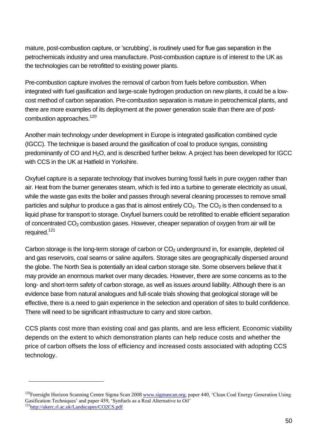mature, post-combustion capture, or 'scrubbing', is routinely used for flue gas separation in the petrochemicals industry and urea manufacture. Post-combustion capture is of interest to the UK as the technologies can be retrofitted to existing power plants.

Pre-combustion capture involves the removal of carbon from fuels before combustion. When integrated with fuel gasification and large-scale hydrogen production on new plants, it could be a lowcost method of carbon separation. Pre-combustion separation is mature in petrochemical plants, and there are more examples of its deployment at the power generation scale than there are of postcombustion approaches.<sup>120</sup>

Another main technology under development in Europe is integrated gasification combined cycle (IGCC). The technique is based around the gasification of coal to produce syngas, consisting predominantly of CO and H<sub>2</sub>O, and is described further below. A project has been developed for IGCC with CCS in the UK at Hatfield in Yorkshire.

Oxyfuel capture is a separate technology that involves burning fossil fuels in pure oxygen rather than air. Heat from the burner generates steam, which is fed into a turbine to generate electricity as usual, while the waste gas exits the boiler and passes through several cleaning processes to remove small particles and sulphur to produce a gas that is almost entirely  $CO<sub>2</sub>$ . The  $CO<sub>2</sub>$  is then condensed to a liquid phase for transport to storage. Oxyfuel burners could be retrofitted to enable efficient separation of concentrated  $CO<sub>2</sub>$  combustion gases. However, cheaper separation of oxygen from air will be required.<sup>121</sup>

Carbon storage is the long-term storage of carbon or  $CO<sub>2</sub>$  underground in, for example, depleted oil and gas reservoirs, coal seams or saline aquifers. Storage sites are geographically dispersed around the globe. The North Sea is potentially an ideal carbon storage site. Some observers believe that it may provide an enormous market over many decades. However, there are some concerns as to the long- and short-term safety of carbon storage, as well as issues around liability. Although there is an evidence base from natural analogues and full-scale trials showing that geological storage will be effective, there is a need to gain experience in the selection and operation of sites to build confidence. There will need to be significant infrastructure to carry and store carbon.

CCS plants cost more than existing coal and gas plants, and are less efficient. Economic viability depends on the extent to which demonstration plants can help reduce costs and whether the price of carbon offsets the loss of efficiency and increased costs associated with adopting CCS technology.

<sup>&</sup>lt;sup>120</sup>Foresight Horizon Scanning Centre Sigma Scan 2008 [www.sigmascan.org,](http://www.sigmascan.org/) paper 440, 'Clean Coal Energy Generation Using Gasification Techniques' and paper 459, 'Synfuels as a Real Alternative to Oil'

<sup>&</sup>lt;sup>121</sup><http://ukerc.rl.ac.uk/Landscapes/CO2CS.pdf>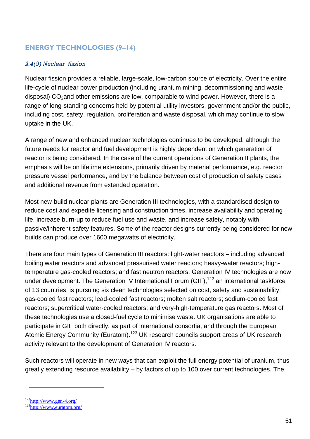#### **ENERGY TECHNOLOGIES (9–14)**

#### *2.4(9) Nuclear fission*

Nuclear fission provides a reliable, large-scale, low-carbon source of electricity. Over the entire life-cycle of nuclear power production (including uranium mining, decommissioning and waste disposal)  $CO<sub>2</sub>$ and other emissions are low, comparable to wind power. However, there is a range of long-standing concerns held by potential utility investors, government and/or the public, including cost, safety, regulation, proliferation and waste disposal, which may continue to slow uptake in the UK.

A range of new and enhanced nuclear technologies continues to be developed, although the future needs for reactor and fuel development is highly dependent on which generation of reactor is being considered. In the case of the current operations of Generation II plants, the emphasis will be on lifetime extensions, primarily driven by material performance, e.g. reactor pressure vessel performance, and by the balance between cost of production of safety cases and additional revenue from extended operation.

Most new-build nuclear plants are Generation III technologies, with a standardised design to reduce cost and expedite licensing and construction times, increase availability and operating life, increase burn-up to reduce fuel use and waste, and increase safety, notably with passive/inherent safety features. Some of the reactor designs currently being considered for new builds can produce over 1600 megawatts of electricity.

There are four main types of Generation III reactors: light-water reactors – including advanced boiling water reactors and advanced pressurised water reactors; heavy-water reactors; hightemperature gas-cooled reactors; and fast neutron reactors. Generation IV technologies are now under development. The Generation IV International Forum (GIF),<sup>122</sup> an international taskforce of 13 countries, is pursuing six clean technologies selected on cost, safety and sustainability: gas-cooled fast reactors; lead-cooled fast reactors; molten salt reactors; sodium-cooled fast reactors; supercritical water-cooled reactors; and very-high-temperature gas reactors. Most of these technologies use a closed-fuel cycle to minimise waste. UK organisations are able to participate in GIF both directly, as part of international consortia, and through the European Atomic Energy Community (Euratom).<sup>123</sup> UK research councils support areas of UK research activity relevant to the development of Generation IV reactors.

Such reactors will operate in new ways that can exploit the full energy potential of uranium, thus greatly extending resource availability – by factors of up to 100 over current technologies. The

<sup>122</sup><http://www.gen-4.org/>

<sup>123</sup><http://www.euratom.org/>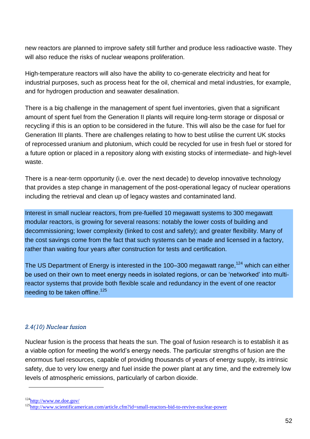new reactors are planned to improve safety still further and produce less radioactive waste. They will also reduce the risks of nuclear weapons proliferation.

High-temperature reactors will also have the ability to co-generate electricity and heat for industrial purposes, such as process heat for the oil, chemical and metal industries, for example, and for hydrogen production and seawater desalination.

There is a big challenge in the management of spent fuel inventories, given that a significant amount of spent fuel from the Generation II plants will require long-term storage or disposal or recycling if this is an option to be considered in the future. This will also be the case for fuel for Generation III plants. There are challenges relating to how to best utilise the current UK stocks of reprocessed uranium and plutonium, which could be recycled for use in fresh fuel or stored for a future option or placed in a repository along with existing stocks of intermediate- and high-level waste.

There is a near-term opportunity (i.e. over the next decade) to develop innovative technology that provides a step change in management of the post-operational legacy of nuclear operations including the retrieval and clean up of legacy wastes and contaminated land.

Interest in small nuclear reactors, from pre-fuelled 10 megawatt systems to 300 megawatt modular reactors, is growing for several reasons: notably the lower costs of building and decommissioning; lower complexity (linked to cost and safety); and greater flexibility. Many of the cost savings come from the fact that such systems can be made and licensed in a factory, rather than waiting four years after construction for tests and certification.

The US Department of Energy is interested in the 100–300 megawatt range,  $124$  which can either be used on their own to meet energy needs in isolated regions, or can be 'networked' into multireactor systems that provide both flexible scale and redundancy in the event of one reactor needing to be taken offline.<sup>125</sup>

#### *2.4(10) Nuclear fusion*

Nuclear fusion is the process that heats the sun. The goal of fusion research is to establish it as a viable option for meeting the world's energy needs. The particular strengths of fusion are the enormous fuel resources, capable of providing thousands of years of energy supply, its intrinsic safety, due to very low energy and fuel inside the power plant at any time, and the extremely low levels of atmospheric emissions, particularly of carbon dioxide.

<sup>124</sup><http://www.ne.doe.gov/>

<sup>&</sup>lt;sup>125</sup>http://www.scientificamerican.com/article.cfm<u>?id=small-reactors-bid-to-revive-nuclear-power</u>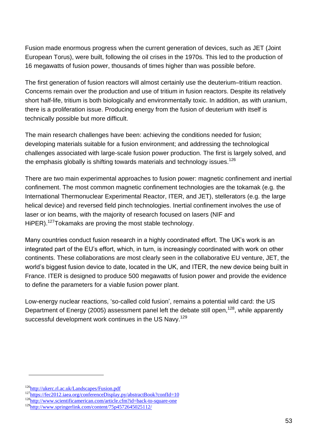Fusion made enormous progress when the current generation of devices, such as JET (Joint European Torus), were built, following the oil crises in the 1970s. This led to the production of 16 megawatts of fusion power, thousands of times higher than was possible before.

The first generation of fusion reactors will almost certainly use the deuterium–tritium reaction. Concerns remain over the production and use of tritium in fusion reactors. Despite its relatively short half-life, tritium is both biologically and environmentally toxic. In addition, as with uranium, there is a proliferation issue. Producing energy from the fusion of deuterium with itself is technically possible but more difficult.

The main research challenges have been: achieving the conditions needed for fusion; developing materials suitable for a fusion environment; and addressing the technological challenges associated with large-scale fusion power production. The first is largely solved, and the emphasis globally is shifting towards materials and technology issues.<sup>126</sup>

There are two main experimental approaches to fusion power: magnetic confinement and inertial confinement. The most common magnetic confinement technologies are the tokamak (e.g. the International Thermonuclear Experimental Reactor, ITER, and JET), stellerators (e.g. the large helical device) and reversed field pinch technologies. Inertial confinement involves the use of laser or ion beams, with the majority of research focused on lasers (NIF and HiPER).<sup>127</sup>Tokamaks are proving the most stable technology.

Many countries conduct fusion research in a highly coordinated effort. The UK's work is an integrated part of the EU's effort, which, in turn, is increasingly coordinated with work on other continents. These collaborations are most clearly seen in the collaborative EU venture, JET, the world's biggest fusion device to date, located in the UK, and ITER, the new device being built in France. ITER is designed to produce 500 megawatts of fusion power and provide the evidence to define the parameters for a viable fusion power plant.

Low-energy nuclear reactions, 'so-called cold fusion', remains a potential wild card: the US Department of Energy (2005) assessment panel left the debate still open,<sup>128</sup>, while apparently successful development work continues in the US Navy.<sup>129</sup>

<sup>126</sup><http://ukerc.rl.ac.uk/Landscapes/Fusion.pdf>

<sup>127</sup><https://fec2012.iaea.org/conferenceDisplay.py/abstractBook?confId=10>

<sup>128</sup><http://www.scientificamerican.com/article.cfm?id=back-to-square-one>

<sup>129</sup><http://www.springerlink.com/content/75p4572645025112/>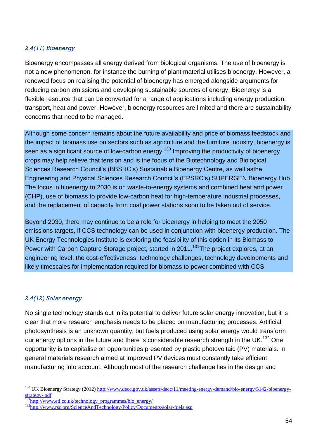#### *2.4(11) Bioenergy*

Bioenergy encompasses all energy derived from biological organisms. The use of bioenergy is not a new phenomenon, for instance the burning of plant material utilises bioenergy. However, a renewed focus on realising the potential of bioenergy has emerged alongside arguments for reducing carbon emissions and developing sustainable sources of energy. Bioenergy is a flexible resource that can be converted for a range of applications including energy production, transport, heat and power. However, bioenergy resources are limited and there are sustainability concerns that need to be managed.

Although some concern remains about the future availability and price of biomass feedstock and the impact of biomass use on sectors such as agriculture and the furniture industry, bioenergy is seen as a significant source of low-carbon energy.<sup>130</sup> Improving the productivity of bioenergy crops may help relieve that tension and is the focus of the Biotechnology and Biological Sciences Research Council's (BBSRC's) Sustainable Bioenergy Centre, as well asthe Engineering and Physical Sciences Research Council's (EPSRC's) SUPERGEN Bioenergy Hub. The focus in bioenergy to 2030 is on waste-to-energy systems and combined heat and power (CHP), use of biomass to provide low-carbon heat for high-temperature industrial processes, and the replacement of capacity from coal power stations soon to be taken out of service.

Beyond 2030, there may continue to be a role for bioenergy in helping to meet the 2050 emissions targets, if CCS technology can be used in conjunction with bioenergy production. The UK Energy Technologies Institute is exploring the feasibility of this option in its Biomass to Power with Carbon Capture Storage project, started in 2011.<sup>131</sup>The project explores, at an engineering level, the cost-effectiveness, technology challenges, technology developments and likely timescales for implementation required for biomass to power combined with CCS.

#### *2.4(12) Solar energy*

l

No single technology stands out in its potential to deliver future solar energy innovation, but it is clear that more research emphasis needs to be placed on manufacturing processes. Artificial photosynthesis is an unknown quantity, but fuels produced using solar energy would transform our energy options in the future and there is considerable research strength in the UK.<sup>132</sup> One opportunity is to capitalise on opportunities presented by plastic photovoltaic (PV) materials. In general materials research aimed at improved PV devices must constantly take efficient manufacturing into account. Although most of the research challenge lies in the design and

<sup>&</sup>lt;sup>130</sup> UK Bioenergy Strategy (2012[\) http://www.decc.gov.uk/assets/decc/11/meeting-energy-demand/bio-energy/5142-bioenergy](http://www.decc.gov.uk/assets/decc/11/meeting-energy-demand/bio-energy/5142-bioenergy-strategy-.pdf)[strategy-.pdf](http://www.decc.gov.uk/assets/decc/11/meeting-energy-demand/bio-energy/5142-bioenergy-strategy-.pdf)

<sup>131&</sup>lt;sub>[http://www.eti.co.uk/technology\\_programmes/bio\\_energy/](http://www.eti.co.uk/technology_programmes/bio_energy/)</sub>

<sup>132</sup><http://www.rsc.org/ScienceAndTechnology/Policy/Documents/solar-fuels.asp>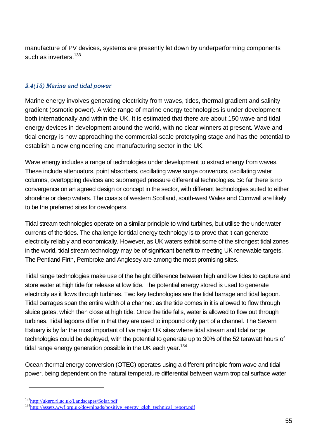manufacture of PV devices, systems are presently let down by underperforming components such as inverters.<sup>133</sup>

#### *2.4(13) Marine and tidal power*

Marine energy involves generating electricity from waves, tides, thermal gradient and salinity gradient (osmotic power). A wide range of marine energy technologies is under development both internationally and within the UK. It is estimated that there are about 150 wave and tidal energy devices in development around the world, with no clear winners at present. Wave and tidal energy is now approaching the commercial-scale prototyping stage and has the potential to establish a new engineering and manufacturing sector in the UK.

Wave energy includes a range of technologies under development to extract energy from waves. These include attenuators, point absorbers, oscillating wave surge convertors, oscillating water columns, overtopping devices and submerged pressure differential technologies. So far there is no convergence on an agreed design or concept in the sector, with different technologies suited to either shoreline or deep waters. The coasts of western Scotland, south-west Wales and Cornwall are likely to be the preferred sites for developers.

Tidal stream technologies operate on a similar principle to wind turbines, but utilise the underwater currents of the tides. The challenge for tidal energy technology is to prove that it can generate electricity reliably and economically. However, as UK waters exhibit some of the strongest tidal zones in the world, tidal stream technology may be of significant benefit to meeting UK renewable targets. The Pentland Firth, Pembroke and Anglesey are among the most promising sites.

Tidal range technologies make use of the height difference between high and low tides to capture and store water at high tide for release at low tide. The potential energy stored is used to generate electricity as it flows through turbines. Two key technologies are the tidal barrage and tidal lagoon. Tidal barrages span the entire width of a channel: as the tide comes in it is allowed to flow through sluice gates, which then close at high tide. Once the tide falls, water is allowed to flow out through turbines. Tidal lagoons differ in that they are used to impound only part of a channel. The Severn Estuary is by far the most important of five major UK sites where tidal stream and tidal range technologies could be deployed, with the potential to generate up to 30% of the 52 terawatt hours of tidal range energy generation possible in the UK each year.<sup>134</sup>

Ocean thermal energy conversion (OTEC) operates using a different principle from wave and tidal power, being dependent on the natural temperature differential between warm tropical surface water

<sup>133</sup><http://ukerc.rl.ac.uk/Landscapes/Solar.pdf>

<sup>134</sup>[http://assets.wwf.org.uk/downloads/positive\\_energy\\_glgh\\_technical\\_report.pdf](http://assets.wwf.org.uk/downloads/positive_energy_glgh_technical_report.pdf)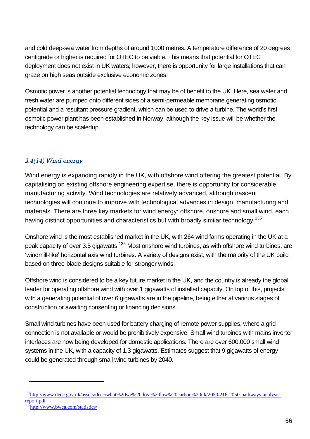and cold deep-sea water from depths of around 1000 metres. A temperature difference of 20 degrees centigrade or higher is required for OTEC to be viable. This means that potential for OTEC deployment does not exist in UK waters; however, there is opportunity for large installations that can graze on high seas outside exclusive economic zones.

Osmotic power is another potential technology that may be of benefit to the UK. Here, sea water and fresh water are pumped onto different sides of a semi-permeable membrane generating osmotic potential and a resultant pressure gradient, which can be used to drive a turbine. The world's first osmotic power plant has been established in Norway, although the key issue will be whether the technology can be scaledup.

#### *2.4(14) Wind energy*

Wind energy is expanding rapidly in the UK, with offshore wind offering the greatest potential. By capitalising on existing offshore engineering expertise, there is opportunity for considerable manufacturing activity. Wind technologies are relatively advanced, although nascent technologies will continue to improve with technological advances in design, manufacturing and materials. There are three key markets for wind energy: offshore, onshore and small wind, each having distinct opportunities and characteristics but with broadly similar technology.<sup>135</sup>

Onshore wind is the most established market in the UK, with 264 wind farms operating in the UK at a peak capacity of over 3.5 gigawatts.<sup>136</sup> Most onshore wind turbines, as with offshore wind turbines, are 'windmill-like' horizontal axis wind turbines. A variety of designs exist, with the majority of the UK build based on three-blade designs suitable for stronger winds.

Offshore wind is considered to be a key future market in the UK, and the country is already the global leader for operating offshore wind with over 1 gigawatts of installed capacity. On top of this, projects with a generating potential of over 6 gigawatts are in the pipeline, being either at various stages of construction or awaiting consenting or financing decisions.

Small wind turbines have been used for battery charging of remote power supplies, where a grid connection is not available or would be prohibitively expensive. Small wind turbines with mains inverter interfaces are now being developed for domestic applications. There are over 600,000 small wind systems in the UK, with a capacity of 1.3 gigawatts. Estimates suggest that 9 gigawatts of energy could be generated through small wind turbines by 2040.

<sup>&</sup>lt;sup>135</sup>[http://www.decc.gov.uk/assets/decc/what%20we%20do/a%20low%20carbon%20uk/2050/216-2050-pathways-analysis](http://www.decc.gov.uk/assets/decc/what%20we%20do/a%20low%20carbon%20uk/2050/216-2050-pathways-analysis-report.pdf)[report.pdf](http://www.decc.gov.uk/assets/decc/what%20we%20do/a%20low%20carbon%20uk/2050/216-2050-pathways-analysis-report.pdf)

<sup>136</sup><http://www.bwea.com/statistics/>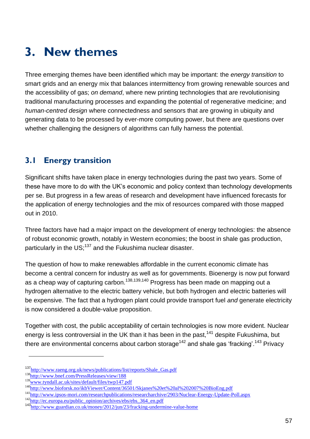# <span id="page-56-0"></span>**3. New themes**

Three emerging themes have been identified which may be important: the *energy transition* to smart grids and an energy mix that balances intermittency from growing renewable sources and the accessibility of gas; *on demand*, where new printing technologies that are revolutionising traditional manufacturing processes and expanding the potential of regenerative medicine; and *human-centred design* where connectedness and sensors that are growing in ubiquity and generating data to be processed by ever-more computing power, but there are questions over whether challenging the designers of algorithms can fully harness the potential.

# <span id="page-56-1"></span>**3.1 Energy transition**

Significant shifts have taken place in energy technologies during the past two years. Some of these have more to do with the UK's economic and policy context than technology developments per se. But progress in a few areas of research and development have influenced forecasts for the application of energy technologies and the mix of resources compared with those mapped out in 2010.

Three factors have had a major impact on the development of energy technologies: the absence of robust economic growth, notably in Western economies; the boost in shale gas production, particularly in the  $US<sub>i</sub><sup>137</sup>$  and the Fukushima nuclear disaster.

The question of how to make renewables affordable in the current economic climate has become a central concern for industry as well as for governments. Bioenergy is now put forward as a cheap way of capturing carbon.<sup>138,139,140</sup> Progress has been made on mapping out a hydrogen alternative to the electric battery vehicle, but both hydrogen and electric batteries will be expensive. The fact that a hydrogen plant could provide transport fuel *and* generate electricity is now considered a double-value proposition.

Together with cost, the public acceptability of certain technologies is now more evident. Nuclear energy is less controversial in the UK than it has been in the past,<sup>141</sup> despite Fukushima, but there are environmental concerns about carbon storage<sup>142</sup> and shale gas 'fracking'.<sup>143</sup> Privacy

<sup>137</sup>[http://www.raeng.org.uk/news/publications/list/reports/Shale\\_Gas.pdf](http://www.raeng.org.uk/news/publications/list/reports/Shale_Gas.pdf)

<sup>138</sup><http://www.bnef.com/PressReleases/view/188>

<sup>139</sup>[www.tyndall.ac.uk/sites/default/files/twp147.pdf](http://www.tyndall.ac.uk/sites/default/files/twp147.pdf)

<sup>140</sup><http://www.bioforsk.no/ikbViewer/Content/36501/Skjanes%20et%20al%202007%20BioEng.pdf>

<sup>141</sup><http://www.ipsos-mori.com/researchpublications/researcharchive/2903/Nuclear-Energy-Update-Poll.aspx>

<sup>&</sup>lt;sup>142</sup>[http://ec.europa.eu/public\\_opinion/archives/ebs/ebs\\_364\\_en.pdf](http://ec.europa.eu/public_opinion/archives/ebs/ebs_364_en.pdf)

<sup>143</sup><http://www.guardian.co.uk/money/2012/jun/23/fracking-undermine-value-home>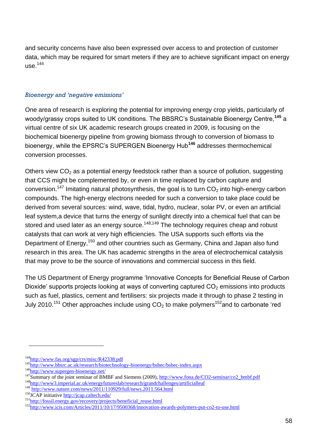and security concerns have also been expressed over access to and protection of customer data, which may be required for smart meters if they are to achieve significant impact on energy  $use.<sup>144</sup>$ 

#### *Bioenergy and 'negative emissions'*

One area of research is exploring the potential for improving energy crop yields, particularly of woody/grassy crops suited to UK conditions. The BBSRC's Sustainable Bioenergy Centre,**<sup>145</sup>** a virtual centre of six UK academic research groups created in 2009, is focusing on the biochemical bioenergy pipeline from growing biomass through to conversion of biomass to bioenergy, while the EPSRC's SUPERGEN Bioenergy Hub**<sup>146</sup>** addresses thermochemical conversion processes.

Others view  $CO<sub>2</sub>$  as a potential energy feedstock rather than a source of pollution, suggesting that CCS might be complemented by, or even in time replaced by carbon capture and conversion.<sup>147</sup> Imitating natural photosynthesis, the goal is to turn  $CO<sub>2</sub>$  into high-energy carbon compounds. The high-energy electrons needed for such a conversion to take place could be derived from several sources: wind, wave, tidal, hydro, nuclear, solar PV, or even an artificial leaf system,a device that turns the energy of sunlight directly into a chemical fuel that can be stored and used later as an energy source.<sup>148,149</sup> The technology requires cheap and robust catalysts that can work at very high efficiencies. The USA supports such efforts via the Department of Energy,<sup>150</sup> and other countries such as Germany, China and Japan also fund research in this area. The UK has academic strengths in the area of electrochemical catalysis that may prove to be the source of innovations and commercial success in this field.

The US Department of Energy programme 'Innovative Concepts for Beneficial Reuse of Carbon Dioxide' supports projects looking at ways of converting captured  $CO<sub>2</sub>$  emissions into products such as fuel, plastics, cement and fertilisers: six projects made it through to phase 2 testing in July 2010.<sup>151</sup> Other approaches include using  $CO<sub>2</sub>$  to make polymers<sup>152</sup> and to carbonate 'red

<sup>144</sup><http://www.fas.org/sgp/crs/misc/R42338.pdf>

<sup>&</sup>lt;sup>145</sup><http://www.bbsrc.ac.uk/research/biotechnology-bioenergy/bsbec/bsbec-index.aspx>

<sup>146</sup><http://www.supergen-bioenergy.net/>

 $147\overline{\text{Summary of the joint seminar of BMBF}}$  and Siemens (2009), [http://www.fona.de/CO2-seminar/co2\\_bmbf.pdf](http://www.fona.de/CO2-seminar/co2_bmbf.pdf)

<sup>148</sup><http://www3.imperial.ac.uk/energyfutureslab/research/grandchallenges/artificialleaf>

<sup>&</sup>lt;sup>149</sup> <http://www.nature.com/news/2011/110929/full/news.2011.564.html>

<sup>150</sup>JCAP initiative<http://jcap.caltech.edu/>

<sup>&</sup>lt;sup>151</sup>[http://fossil.energy.gov/recovery/projects/beneficial\\_reuse.html](http://fossil.energy.gov/recovery/projects/beneficial_reuse.html)

<sup>&</sup>lt;sup>152</sup><http://www.icis.com/Articles/2011/10/17/9500368/innovation-awards-polymers-put-co2-to-use.html>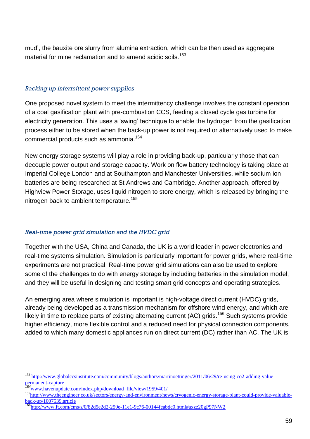mud', the bauxite ore slurry from alumina extraction, which can be then used as aggregate material for mine reclamation and to amend acidic soils. 153

#### *Backing up intermittent power supplies*

One proposed novel system to meet the intermittency challenge involves the constant operation of a coal gasification plant with pre-combustion CCS, feeding a closed cycle gas turbine for electricity generation. This uses a 'swing' technique to enable the hydrogen from the gasification process either to be stored when the back-up power is not required or alternatively used to make commercial products such as ammonia.<sup>154</sup>

New energy storage systems will play a role in providing back-up, particularly those that can decouple power output and storage capacity. Work on flow battery technology is taking place at Imperial College London and at Southampton and Manchester Universities, while sodium ion batteries are being researched at St Andrews and Cambridge. Another approach, offered by Highview Power Storage, uses liquid nitrogen to store energy, which is released by bringing the nitrogen back to ambient temperature.<sup>155</sup>

#### *Real-time power grid simulation and the HVDC grid*

Together with the USA, China and Canada, the UK is a world leader in power electronics and real-time systems simulation. Simulation is particularly important for power grids, where real-time experiments are not practical. Real-time power grid simulations can also be used to explore some of the challenges to do with energy storage by including batteries in the simulation model, and they will be useful in designing and testing smart grid concepts and operating strategies.

An emerging area where simulation is important is high-voltage direct current (HVDC) grids, already being developed as a transmission mechanism for offshore wind energy, and which are likely in time to replace parts of existing alternating current (AC) grids.<sup>156</sup> Such systems provide higher efficiency, more flexible control and a reduced need for physical connection components, added to which many domestic appliances run on direct current (DC) rather than AC. The UK is

<sup>153</sup> [http://www.globalccsinstitute.com/community/blogs/authors/martinoettinger/2011/06/29/re-using-co2-adding-value](http://www.globalccsinstitute.com/community/blogs/authors/martinoettinger/2011/06/29/re-using-co2-adding-value-permanent-capture)[permanent-capture](http://www.globalccsinstitute.com/community/blogs/authors/martinoettinger/2011/06/29/re-using-co2-adding-value-permanent-capture)

*<sup>154</sup>*[www.havenupdate.com/index.php/download\\_file/view/1959/401/](http://www.havenupdate.com/index.php/download_file/view/1959/401/)

<sup>155</sup>[http://www.theengineer.co.uk/sectors/energy-and-environment/news/cryogenic-energy-storage-plant-could-provide-valuable](http://www.theengineer.co.uk/sectors/energy-and-environment/news/cryogenic-energy-storage-plant-could-provide-valuable-back-up/1007539.article)[back-up/1007539.article](http://www.theengineer.co.uk/sectors/energy-and-environment/news/cryogenic-energy-storage-plant-could-provide-valuable-back-up/1007539.article)

 $15$ <http://www.ft.com/cms/s/0/82d5e2d2-259e-11e1-9c76-00144feabdc0.html#axzz20gP97NW2>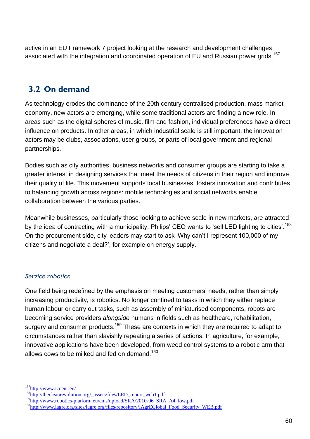active in an EU Framework 7 project looking at the research and development challenges associated with the integration and coordinated operation of EU and Russian power grids.<sup>157</sup>

# <span id="page-59-0"></span>**3.2 On demand**

As technology erodes the dominance of the 20th century centralised production, mass market economy, new actors are emerging, while some traditional actors are finding a new role. In areas such as the digital spheres of music, film and fashion, individual preferences have a direct influence on products. In other areas, in which industrial scale is still important, the innovation actors may be clubs, associations, user groups, or parts of local government and regional partnerships.

Bodies such as city authorities, business networks and consumer groups are starting to take a greater interest in designing services that meet the needs of citizens in their region and improve their quality of life. This movement supports local businesses, fosters innovation and contributes to balancing growth across regions: mobile technologies and social networks enable collaboration between the various parties.

Meanwhile businesses, particularly those looking to achieve scale in new markets, are attracted by the idea of contracting with a municipality: Philips' CEO wants to 'sell LED lighting to cities'.<sup>158</sup> On the procurement side, city leaders may start to ask 'Why can't I represent 100,000 of my citizens and negotiate a deal?', for example on energy supply.

#### *Service robotics*

One field being redefined by the emphasis on meeting customers' needs, rather than simply increasing productivity, is robotics. No longer confined to tasks in which they either replace human labour or carry out tasks, such as assembly of miniaturised components, robots are becoming service providers *alongside* humans in fields such as healthcare, rehabilitation, surgery and consumer products.<sup>159</sup> These are contexts in which they are required to adapt to circumstances rather than slavishly repeating a series of actions. In agriculture, for example, innovative applications have been developed, from weed control systems to a robotic arm that allows cows to be milked and fed on demand.<sup>160</sup>

<sup>157</sup><http://www.icoeur.eu/>

<sup>158</sup>[http://thecleanrevolution.org/\\_assets/files/LED\\_report\\_web1.pdf](http://thecleanrevolution.org/_assets/files/LED_report_web1.pdf)

<sup>&</sup>lt;sup>159</sup>[http://www.robotics-platform.eu/cms/upload/SRA/2010-06\\_SRA\\_A4\\_low.pdf](http://www.robotics-platform.eu/cms/upload/SRA/2010-06_SRA_A4_low.pdf)

<sup>160</sup>[http://www.iagre.org/sites/iagre.org/files/repository/IAgrEGlobal\\_Food\\_Security\\_WEB.pdf](http://www.iagre.org/sites/iagre.org/files/repository/IAgrEGlobal_Food_Security_WEB.pdf)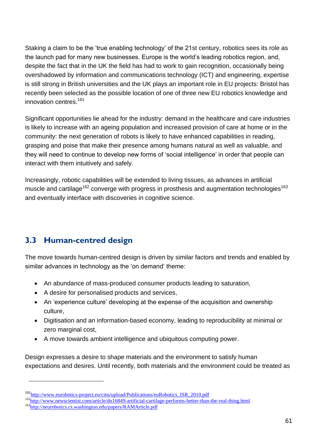Staking a claim to be the 'true enabling technology' of the 21st century, robotics sees its role as the launch pad for many new businesses. Europe is the world's leading robotics region, and, despite the fact that in the UK the field has had to work to gain recognition, occasionally being overshadowed by information and communications technology (ICT) and engineering, expertise is still strong in British universities and the UK plays an important role in EU projects: Bristol has recently been selected as the possible location of one of three new EU robotics knowledge and innovation centres.<sup>161</sup>

Significant opportunities lie ahead for the industry: demand in the healthcare and care industries is likely to increase with an ageing population and increased provision of care at home or in the community: the next generation of robots is likely to have enhanced capabilities in reading, grasping and poise that make their presence among humans natural as well as valuable, and they will need to continue to develop new forms of 'social intelligence' in order that people can interact with them intuitively and safely.

Increasingly, robotic capabilities will be extended to living tissues, as advances in artificial muscle and cartilage<sup>162</sup> converge with progress in prosthesis and augmentation technologies<sup>163</sup> and eventually interface with discoveries in cognitive science.

## <span id="page-60-0"></span>**3.3 Human-centred design**

The move towards human-centred design is driven by similar factors and trends and enabled by similar advances in technology as the 'on demand' theme:

- An abundance of mass-produced consumer products leading to saturation,
- A desire for personalised products and services,
- An 'experience culture' developing at the expense of the acquisition and ownership culture,
- Digitisation and an information-based economy, leading to reproducibility at minimal or zero marginal cost,
- A move towards ambient intelligence and ubiquitous computing power.

Design expresses a desire to shape materials and the environment to satisfy human expectations and desires. Until recently, both materials and the environment could be treated as

<sup>&</sup>lt;sup>161</sup>[http://www.eurobotics-project.eu/cms/upload/Publications/euRobotics\\_ISR\\_2010.pdf](http://www.eurobotics-project.eu/cms/upload/Publications/euRobotics_ISR_2010.pdf)

<sup>&</sup>lt;sup>162</sup><http://www.newscientist.com/article/dn16849-artificial-cartilage-performs-better-than-the-real-thing.html>

<sup>163</sup><http://neurobotics.cs.washington.edu/papers/RAMArticle.pdf>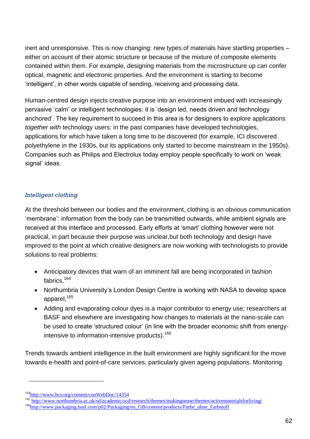inert and unresponsive. This is now changing: new types of materials have startling properties – either on account of their atomic structure or because of the mixture of composite elements contained within them. For example, designing materials from the microstructure up can confer optical, magnetic and electronic properties. And the environment is starting to become 'intelligent', in other words capable of sending, receiving and processing data.

Human-centred design injects creative purpose into an environment imbued with increasingly pervasive 'calm' or intelligent technologies: it is 'design led, needs driven and technology anchored'. The key requirement to succeed in this area is for designers to explore applications *together with* technology users: in the past companies have developed technologies, applications for which have taken a long time to be discovered (for example, ICI discovered polyethylene in the 1930s, but its applications only started to become mainstream in the 1950s). Companies such as Philips and Electrolux today employ people specifically to work on 'weak signal' ideas.

#### *Intelligent clothing*

At the threshold between our bodies and the environment, clothing is an obvious communication 'membrane': information from the body can be transmitted outwards, while ambient signals are received at this interface and processed. Early efforts at 'smart' clothing however were not practical, in part because their purpose was unclear,but both technology and design have improved to the point at which creative designers are now working with technologists to provide solutions to real problems:

- Anticipatory devices that warn of an imminent fall are being incorporated in fashion fabrics, 164
- Northumbria University's London Design Centre is working with NASA to develop space apparel,<sup>165</sup>
- Adding and evaporating colour dyes is a major contributor to energy use; researchers at BASF and elsewhere are investigating how changes to materials at the nano-scale can be used to create 'structured colour' (in line with the broader economic shift from energyintensive to information-intensive products).<sup>166</sup>

Trends towards ambient intelligence in the built environment are highly significant for the move towards e-health and point-of-care services, particularly given ageing populations. Monitoring

<sup>164</sup><http://www.bcs.org/content/conWebDoc/14354>

<sup>165</sup> <http://www.northumbria.ac.uk/sd/academic/scd/research/themes/makingsense/themes/activematerialsforliving/> <sup>166</sup>[http://www.packaging.basf.com/p02/Packaging/en\\_GB/content/products/Farbe\\_ohne\\_Farbstoff](http://www.packaging.basf.com/p02/Packaging/en_GB/content/products/Farbe_ohne_Farbstoff)

<sup>62</sup>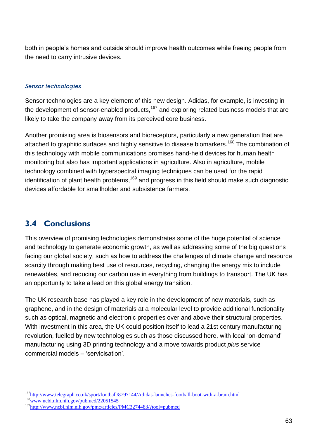both in people's homes and outside should improve health outcomes while freeing people from the need to carry intrusive devices.

#### *Sensor technologies*

Sensor technologies are a key element of this new design. Adidas, for example, is investing in the development of sensor-enabled products, $167$  and exploring related business models that are likely to take the company away from its perceived core business.

Another promising area is biosensors and bioreceptors, particularly a new generation that are attached to graphitic surfaces and highly sensitive to disease biomarkers.<sup>168</sup> The combination of this technology with mobile communications promises hand-held devices for human health monitoring but also has important applications in agriculture. Also in agriculture, mobile technology combined with hyperspectral imaging techniques can be used for the rapid identification of plant health problems,  $169$  and progress in this field should make such diagnostic devices affordable for smallholder and subsistence farmers.

# <span id="page-62-0"></span>**3.4 Conclusions**

This overview of promising technologies demonstrates some of the huge potential of science and technology to generate economic growth, as well as addressing some of the big questions facing our global society, such as how to address the challenges of climate change and resource scarcity through making best use of resources, recycling, changing the energy mix to include renewables, and reducing our carbon use in everything from buildings to transport. The UK has an opportunity to take a lead on this global energy transition.

The UK research base has played a key role in the development of new materials, such as graphene, and in the design of materials at a molecular level to provide additional functionality such as optical, magnetic and electronic properties over and above their structural properties. With investment in this area, the UK could position itself to lead a 21st century manufacturing revolution, fuelled by new technologies such as those discussed here, with local 'on-demand' manufacturing using 3D printing technology and a move towards product *plus* service commercial models – 'servicisation'.

<sup>167</sup><http://www.telegraph.co.uk/sport/football/8797144/Adidas-launches-football-boot-with-a-brain.html>

<sup>168</sup>[www.ncbi.nlm.nih.gov/pubmed/22051545](http://www.ncbi.nlm.nih.gov/pubmed/22051545)

<sup>169</sup><http://www.ncbi.nlm.nih.gov/pmc/articles/PMC3274483/?tool=pubmed>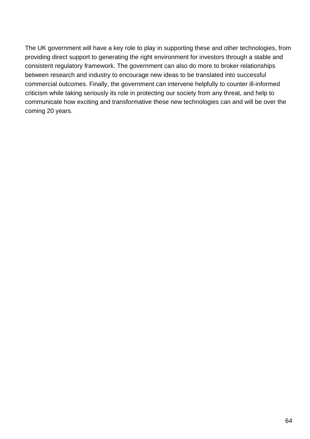The UK government will have a key role to play in supporting these and other technologies, from providing direct support to generating the right environment for investors through a stable and consistent regulatory framework. The government can also do more to broker relationships between research and industry to encourage new ideas to be translated into successful commercial outcomes. Finally, the government can intervene helpfully to counter ill-informed criticism while taking seriously its role in protecting our society from any threat, and help to communicate how exciting and transformative these new technologies can and will be over the coming 20 years.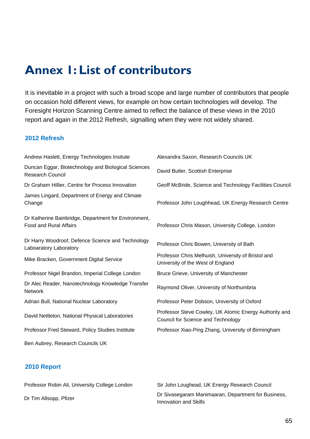# <span id="page-64-0"></span>**Annex 1: List of contributors**

It is inevitable in a project with such a broad scope and large number of contributors that people on occasion hold different views, for example on how certain technologies will develop. The Foresight Horizon Scanning Centre aimed to reflect the balance of these views in the 2010 report and again in the 2012 Refresh, signalling when they were not widely shared.

#### **2012 Refresh**

| Andrew Haslett, Energy Technologies Insitute                                          | Alexandra Saxon, Research Councils UK                                                        |
|---------------------------------------------------------------------------------------|----------------------------------------------------------------------------------------------|
| Duncan Eggar, Biotechnology and Biological Sciences<br>Research Council               | David Butler, Scottish Enterprise                                                            |
| Dr Graham Hillier, Centre for Process Innovation                                      | Geoff McBride, Science and Technology Facilities Council                                     |
| James Lingard, Department of Energy and Climate<br>Change                             | Professor John Loughhead, UK Energy Research Centre                                          |
| Dr Katherine Bainbridge, Department for Environment,<br><b>Food and Rural Affairs</b> | Professor Chris Mason, University College, London                                            |
| Dr Harry Woodroof, Defence Science and Technology<br>Laboaratory Laboratory           | Professor Chris Bowen, University of Bath                                                    |
| Mike Bracken, Government Digital Service                                              | Professor Chris Melhuish, University of Bristol and<br>University of the West of England     |
| Professor Nigel Brandon, Imperial College London                                      | Bruce Grieve, University of Manchester                                                       |
| Dr Alec Reader, Nanotechnology Knowledge Transfer<br>Network                          | Raymond Oliver, University of Northumbria                                                    |
| Adrian Bull, National Nuclear Laboratory                                              | Professor Peter Dobson, University of Oxford                                                 |
| David Nettleton, National Physical Laboratories                                       | Professor Steve Cowley, UK Atomic Energy Authority and<br>Council for Science and Technology |
| Professor Fred Steward, Policy Studies Institute                                      | Professor Xiao-Ping Zhang, University of Birmingham                                          |
| Ben Aubrey, Research Councils UK                                                      |                                                                                              |

#### **2010 Report**

| Professor Robin Ali, University College London | Sir John Loughead, UK Energy Research Council       |  |
|------------------------------------------------|-----------------------------------------------------|--|
|                                                | Dr Sivasegaram Manimaaran, Department for Business, |  |
| Dr Tim Allsopp, Pfizer                         | Innovation and Skills                               |  |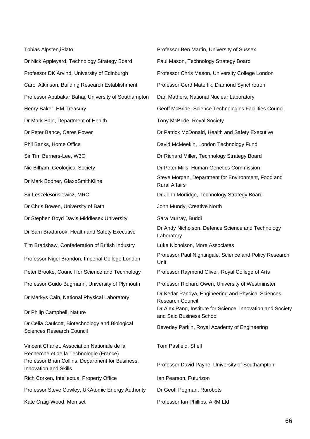Tobias Alpsten,iPlato Professor Ben Martin, University of Sussex Dr Nick Appleyard, Technology Strategy Board Paul Mason, Technology Strategy Board Professor DK Arvind, University of Edinburgh Professor Chris Mason, University College London Carol Atkinson, Building Research Establishment Professor Gerd Materlik, Diamond Synchrotron Professor Abubakar Bahaj, University of Southampton Dan Mathers, National Nuclear Laboratory Henry Baker, HM Treasury Geoff McBride, Science Technologies Facilities Council Dr Mark Bale, Department of Health Tony McBride, Royal Society Dr Peter Bance, Ceres Power Dr Patrick McDonald, Health and Safety Executive Phil Banks, Home Office **David McMeekin, London Technology Fund** Sir Tim Berners-Lee, W3C **Dream Containers** Dr Richard Miller, Technology Strategy Board Nic Bilham, Geological Society **Dream Commission** Dr Peter Mills, Human Genetics Commission Dr Mark Bodner, GlaxoSmithKline Steve Morgan, Department for Environment, Food and Rural Affairs Sir LeszekBorisiewicz, MRC **Dream Cream Cream Cream Dream Dream Dream Cream Cream Cream Cream Cream Cream Cream C** Dr Chris Bowen, University of Bath John Mundy, Creative North Dr Stephen Boyd Davis, Middlesex University Sara Murray, Buddi Dr Sam Bradbrook, Health and Safety Executive Dr Andy Nicholson, Defence Science and Technology **Laboratory** Tim Bradshaw, Confederation of British Industry Luke Nicholson, More Associates Professor Nigel Brandon, Imperial College London Professor Paul Nightingale, Science and Policy Research Unit Peter Brooke, Council for Science and Technology Professor Raymond Oliver, Royal College of Arts Professor Guido Bugmann, University of Plymouth Professor Richard Owen, University of Westminster Dr Markys Cain, National Physical Laboratory Dr Kedar Pandya, Engineering and Physical Sciences Research Council Dr Alex Pang, Institute for Science, Innovation and Society<br>Dr Philip Campbell, Nature and Said Business School Dr Celia Caulcott, Biotechnology and Biological Sciences Research Council Beverley Parkin, Royal Academy of Engineering Vincent Charlet, Association Nationale de la Recherche et de la Technologie (France) Tom Pasfield, Shell Professor Brian Collins, Department for Business, Indicate Phan Solling, Bepartment for Basiness, Professor David Payne, University of Southampton<br>
Professor David Payne, University of Southampton Rich Corken, Intellectual Property Office Ian Pearson, Futurizon Professor Steve Cowley, UKAtomic Energy Authority Dr Geoff Pegman, Rurobots Kate Craig-Wood, Memset **Professor Ian Phillips, ARM Ltd**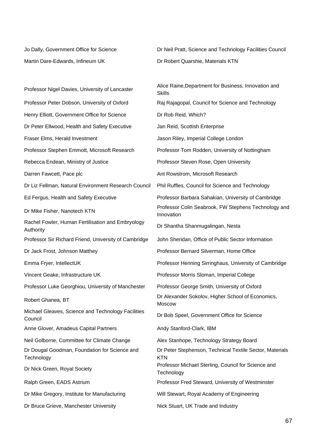Martin Dare-Edwards, Infineum UK Dr Robert Quarshie, Materials KTN

Jo Dally, Government Office for Science **Dr Neil Pratt**, Science and Technology Facilities Council

Professor Nigel Davies, University of Lancaster Alice Raine, Department for Business, Innovation and **Skills** Professor Peter Dobson, University of Oxford Raj Rajagopal, Council for Science and Technology Henry Elliott, Government Office for Science Dr Rob Reid, Which? Dr Peter Ellwood, Health and Safety Executive Jan Reid, Scottish Enterprise Fraser Elms, Herald Investment Varian Museum Jason Riley, Imperial College London Professor Stephen Emmott, Microsoft Research Professor Tom Rodden, University of Nottingham Rebecca Endean, Ministry of Justice **Professor Steven Rose, Open University** Darren Fawcett, Pace plc **Ant Rowstrom, Microsoft Research** Ant Rowstrom, Microsoft Research Dr Liz Fellman, Natural Environment Research Council Phil Ruffles, Council for Science and Technology Ed Fergus, Health and Safety Executive Professor Barbara Sahakian, University of Cambridge Dr Mike Fisher, Nanotech KTN Professor Colin Seabrook, FW Stephens Technology and Innovation Rachel Fowler, Human Fertilisation and Embryology Authority Dr Shantha Shanmugalingan, Nesta Professor Sir Richard Friend, University of Cambridge John Sheridan, Office of Public Sector Information Dr Jack Frost, Johnson Matthey Professor Bernard Silverman, Home Office Emma Fryer, IntellectUK Professor Henning Sirringhaus, University of Cambridge Vincent Geake, Infrastructure UK Professor Morris Sloman, Imperial College Professor Luke Georghiou, University of Manchester Professor George Smith, University of Oxford Robert Ghanea, BT **Dr Alexander Sokolov, Higher School of Economics**, Moscow Michael Gleaves, Science and Technology Facilities Council Cheaves, Science and Technology Pacifices<br>Dr Bob Speel, Government Office for Science Anne Glover, Amadeus Capital Partners **Andy Stanford-Clark, IBM** Neil Golborne, Committee for Climate Change Alex Stanhope, Technology Strategy Board Dr Dougal Goodman, Foundation for Science and **Technology** Dr Peter Stephenson, Technical Textile Sector, Materials **KTN** Dr Nick Green, Royal Society Professor Michael Sterling, Council for Science and **Technology** Ralph Green, EADS Astrium **Professor Fred Steward, University of Westminster** Dr Mike Gregory, Institute for Manufacturing Will Stewart, Royal Academy of Engineering Dr Bruce Grieve, Manchester University Nick Stuart, UK Trade and Industry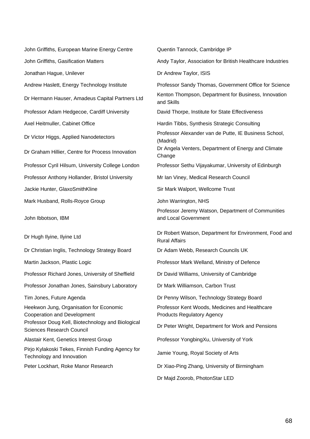John Griffiths, European Marine Energy Centre Quentin Tannock, Cambridge IP John Griffiths, Gasification Matters **Andy Taylor, Association for British Healthcare Industries** Jonathan Hague, Unilever **Dr Andrew Taylor, ISIS** Andrew Haslett, Energy Technology Institute Professor Sandy Thomas, Government Office for Science Dr Hermann Hauser, Amadeus Capital Partners Ltd Kenton Thompson, Department for Business, Innovation Professor Adam Hedgecoe, Cardiff University David Thorpe, Institute for State Effectiveness Axel Heitmuller, Cabinet Office **Hardin Tibbs, Synthesis Strategic Consulting** Dr Victor Higgs, Applied Nanodetectors Professor Alexander van de Putte, IE Business School, Dr Angela Venters, Department of Energy and Climate<br>
Dr Graham Hillier, Centre for Process Innovation Professor Cyril Hilsum, University College London Professor Sethu Vijayakumar, University of Edinburgh Professor Anthony Hollander, Bristol University Mr Ian Viney, Medical Research Council Jackie Hunter, GlaxoSmithKline Sir Mark Walport, Wellcome Trust Mark Husband, Rolls-Royce Group John Warrington, NHS John Ibbotson, IBM Dr Hugh Ilyine, Ilyine Ltd Dr Christian Inglis, Technology Strategy Board Dr Adam Webb, Research Councils UK Martin Jackson, Plastic Logic Professor Mark Welland, Ministry of Defence Professor Richard Jones, University of Sheffield Dr David Williams, University of Cambridge Professor Jonathan Jones, Sainsbury Laboratory Dr Mark Williamson, Carbon Trust Tim Jones, Future Agenda Dr Penny Wilson, Technology Strategy Board Heekwon Jung, Organisation for Economic Cooperation and Development Professor Doug Kell, Biotechnology and Biological Sciences Research Council Dreams and Dreams Dr Peter Wright, Department for Work and Pensions Alastair Kent, Genetics Interest Group Professor YongbingXu, University of York Pirjo Kylakoski Tekes, Finnish Funding Agency for Technology and Innovation Peter Lockhart, Roke Manor Research Dr Xiao-Ping Zhang, University of Birmingham

and Skills (Madrid) Change Professor Jeremy Watson, Department of Communities and Local Government Dr Robert Watson, Department for Environment, Food and Rural Affairs Professor Kent Woods, Medicines and Healthcare Products Regulatory Agency Jamie Young, Royal Society of Arts Dr Majd Zoorob, PhotonStar LED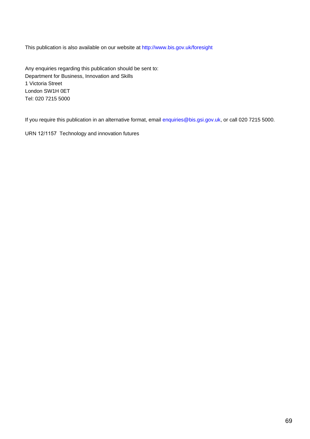This publication is also available on our website at http://www.bis.gov.uk/foresight

Any enquiries regarding this publication should be sent to: Department for Business, Innovation and Skills 1 Victoria Street London SW1H 0ET Tel: 020 7215 5000

If you require this publication in an alternative format, email enquiries@bis.gsi.gov.uk, or call 020 7215 5000.

URN 12/1157 Technology and innovation futures